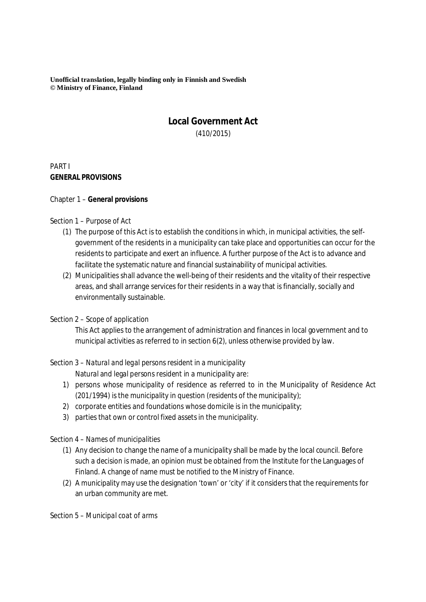**Unofficial translation, legally binding only in Finnish and Swedish © Ministry of Finance, Finland**

# **Local Government Act** (410/2015)

PART I **GENERAL PROVISIONS**

#### Chapter 1 – **General provisions**

#### Section 1 – *Purpose of Act*

- (1) The purpose of this Act is to establish the conditions in which, in municipal activities, the selfgovernment of the residents in a municipality can take place and opportunities can occur for the residents to participate and exert an influence. A further purpose of the Act is to advance and facilitate the systematic nature and financial sustainability of municipal activities.
- (2) Municipalities shall advance the well-being of their residents and the vitality of their respective areas, and shall arrange services for their residents in a way that is financially, socially and environmentally sustainable.

#### Section 2 – *Scope of application*

This Act applies to the arrangement of administration and finances in local government and to municipal activities as referred to in section 6(2), unless otherwise provided by law.

### Section 3 – *Natural and legal persons resident in a municipality*

Natural and legal persons resident in a municipality are:

- 1) persons whose municipality of residence as referred to in the Municipality of Residence Act (201/1994) is the municipality in question (*residents of the municipality*);
- 2) corporate entities and foundations whose domicile is in the municipality;
- 3) parties that own or control fixed assets in the municipality.

### Section 4 – *Names of municipalities*

- (1) Any decision to change the name of a municipality shall be made by the local council. Before such a decision is made, an opinion must be obtained from the Institute for the Languages of Finland. A change of name must be notified to the Ministry of Finance.
- (2) A municipality may use the designation 'town' or 'city' if it considers that the requirements for an urban community are met.

#### Section 5 – *Municipal coat of arms*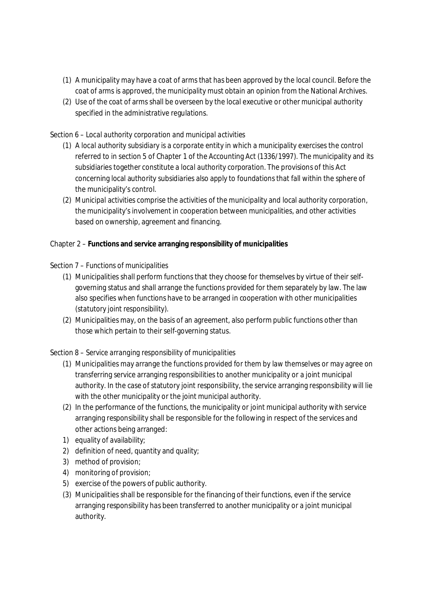- (1) A municipality may have a coat of arms that has been approved by the local council. Before the coat of arms is approved, the municipality must obtain an opinion from the National Archives.
- (2) Use of the coat of arms shall be overseen by the local executive or other municipal authority specified in the administrative regulations.

## Section 6 – *Local authority corporation and municipal activities*

- (1) A *local authority subsidiary* is a corporate entity in which a municipality exercises the control referred to in section 5 of Chapter 1 of the Accounting Act (1336/1997). The municipality and its subsidiaries together constitute a *local authority corporation*. The provisions of this Act concerning local authority subsidiaries also apply to foundations that fall within the sphere of the municipality's control.
- (2) *Municipal activities* comprise the activities of the municipality and local authority corporation, the municipality's involvement in cooperation between municipalities, and other activities based on ownership, agreement and financing.

Chapter 2 – **Functions and service arranging responsibility of municipalities**

### Section 7 – *Functions of municipalities*

- (1) Municipalities shall perform functions that they choose for themselves by virtue of their selfgoverning status and shall arrange the functions provided for them separately by law. The law also specifies when functions have to be arranged in cooperation with other municipalities (*statutory joint responsibility*).
- (2) Municipalities may, on the basis of an agreement, also perform public functions other than those which pertain to their self-governing status.

## Section 8 – *Service arranging responsibility of municipalities*

- (1) Municipalities may arrange the functions provided for them by law themselves or may agree on transferring service arranging responsibilities to another municipality or a joint municipal authority. In the case of statutory joint responsibility, the service arranging responsibility will lie with the other municipality or the joint municipal authority.
- (2) In the performance of the functions, the municipality or joint municipal authority with service arranging responsibility shall be responsible for the following in respect of the services and other actions being arranged:
- 1) equality of availability;
- 2) definition of need, quantity and quality;
- 3) method of provision;
- 4) monitoring of provision;
- 5) exercise of the powers of public authority.
- (3) Municipalities shall be responsible for the financing of their functions, even if the service arranging responsibility has been transferred to another municipality or a joint municipal authority.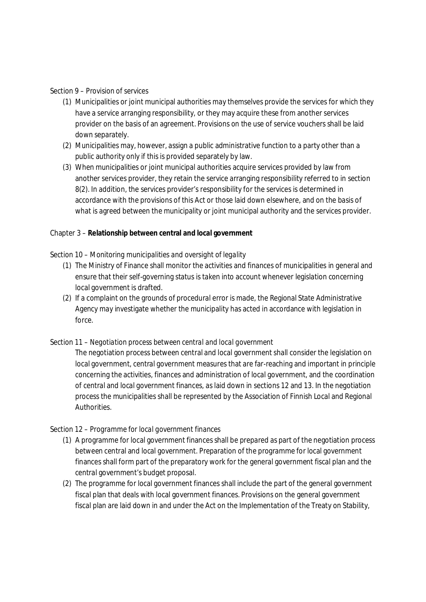#### Section 9 – *Provision of services*

- (1) Municipalities or joint municipal authorities may themselves provide the services for which they have a service arranging responsibility, or they may acquire these from another services provider on the basis of an agreement. Provisions on the use of service vouchers shall be laid down separately.
- (2) Municipalities may, however, assign a public administrative function to a party other than a public authority only if this is provided separately by law.
- (3) When municipalities or joint municipal authorities acquire services provided by law from another services provider, they retain the service arranging responsibility referred to in section 8(2). In addition, the services provider's responsibility for the services is determined in accordance with the provisions of this Act or those laid down elsewhere, and on the basis of what is agreed between the municipality or joint municipal authority and the services provider.

Chapter 3 – **Relationship between central and local government**

### Section 10 – *Monitoring municipalities and oversight of legality*

- (1) The Ministry of Finance shall monitor the activities and finances of municipalities in general and ensure that their self-governing status is taken into account whenever legislation concerning local government is drafted.
- (2) If a complaint on the grounds of procedural error is made, the Regional State Administrative Agency may investigate whether the municipality has acted in accordance with legislation in force.

### Section 11 – *Negotiation process between central and local government*

The negotiation process between central and local government shall consider the legislation on local government, central government measures that are far-reaching and important in principle concerning the activities, finances and administration of local government, and the coordination of central and local government finances, as laid down in sections 12 and 13. In the negotiation process the municipalities shall be represented by the Association of Finnish Local and Regional Authorities.

### Section 12 – *Programme for local government finances*

- (1) A programme for local government finances shall be prepared as part of the negotiation process between central and local government*.* Preparation of the programme for local government finances shall form part of the preparatory work for the general government fiscal plan and the central government's budget proposal.
- (2) The programme for local government finances shall include the part of the general government fiscal plan that deals with local government finances. Provisions on the general government fiscal plan are laid down in and under the Act on the Implementation of the Treaty on Stability,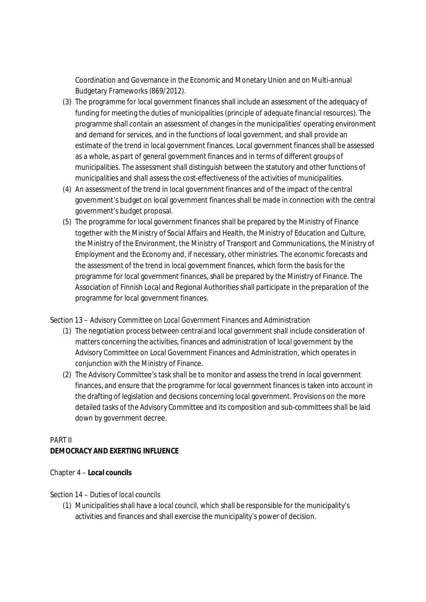Coordination and Governance in the Economic and Monetary Union and on Multi-annual Budgetary Frameworks (869/2012).

- (3) The programme for local government finances shall include an assessment of the adequacy of funding for meeting the duties of municipalities (*principle of adequate financial resources*). The programme shall contain an assessment of changes in the municipalities' operating environment and demand for services, and in the functions of local government, and shall provide an estimate of the trend in local government finances. Local government finances shall be assessed as a whole, as part of general government finances and in terms of different groups of municipalities. The assessment shall distinguish between the statutory and other functions of municipalities and shall assess the cost-effectiveness of the activities of municipalities.
- (4) An assessment of the trend in local government finances and of the impact of the central government's budget on local government finances shall be made in connection with the central government's budget proposal.
- (5) The programme for local government finances shall be prepared by the Ministry of Finance together with the Ministry of Social Affairs and Health, the Ministry of Education and Culture, the Ministry of the Environment, the Ministry of Transport and Communications, the Ministry of Employment and the Economy and, if necessary, other ministries. The economic forecasts and the assessment of the trend in local government finances, which form the basis for the programme for local government finances, shall be prepared by the Ministry of Finance. The Association of Finnish Local and Regional Authorities shall participate in the preparation of the programme for local government finances.

### Section 13 – *Advisory Committee on Local Government Finances and Administration*

- (1) The negotiation process between central and local government shall include consideration of matters concerning the activities, finances and administration of local government by the Advisory Committee on Local Government Finances and Administration, which operates in conjunction with the Ministry of Finance.
- (2) The Advisory Committee's task shall be to monitor and assess the trend in local government finances, and ensure that the programme for local government finances is taken into account in the drafting of legislation and decisions concerning local government. Provisions on the more detailed tasks of the Advisory Committee and its composition and sub-committees shall be laid down by government decree.

## PART II

**DEMOCRACY AND EXERTING INFLUENCE**

### Chapter 4 – **Local councils**

### Section 14 – *Duties of local councils*

(1) Municipalities shall have a local council, which shall be responsible for the municipality's activities and finances and shall exercise the municipality's power of decision.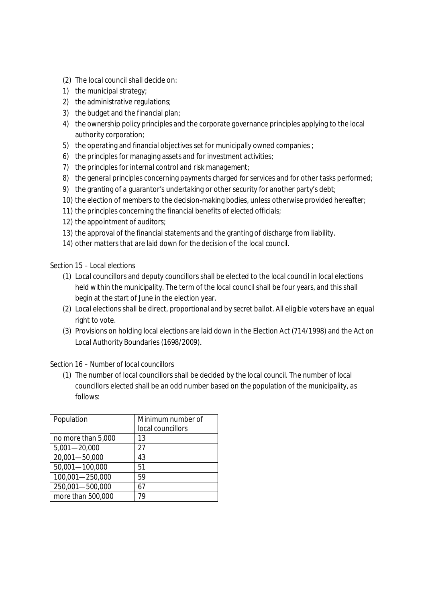- (2) The local council shall decide on:
- 1) the municipal strategy;
- 2) the administrative regulations;
- 3) the budget and the financial plan;
- 4) the ownership policy principles and the corporate governance principles applying to the local authority corporation;
- 5) the operating and financial objectives set for municipally owned companies ;
- 6) the principles for managing assets and for investment activities;
- 7) the principles for internal control and risk management;
- 8) the general principles concerning payments charged for services and for other tasks performed;
- 9) the granting of a guarantor's undertaking or other security for another party's debt;
- 10) the election of members to the decision-making bodies, unless otherwise provided hereafter;
- 11) the principles concerning the financial benefits of elected officials;
- 12) the appointment of auditors;
- 13) the approval of the financial statements and the granting of discharge from liability.
- 14) other matters that are laid down for the decision of the local council.

### Section 15 – *Local elections*

- (1) Local councillors and deputy councillors shall be elected to the local council in local elections held within the municipality. The term of the local council shall be four years, and this shall begin at the start of June in the election year.
- (2) Local elections shall be direct, proportional and by secret ballot. All eligible voters have an equal right to vote.
- (3) Provisions on holding local elections are laid down in the Election Act (714/1998) and the Act on Local Authority Boundaries (1698/2009).

### Section 16 – *Number of local councillors*

(1) The number of local councillors shall be decided by the local council. The number of local councillors elected shall be an odd number based on the population of the municipality, as follows:

| Population         | Minimum number of<br>local councillors |
|--------------------|----------------------------------------|
| no more than 5,000 | 13                                     |
| $5,001 - 20,000$   | 27                                     |
| 20,001-50,000      | 43                                     |
| 50,001-100,000     | 51                                     |
| 100,001-250,000    | 59                                     |
| 250,001-500,000    | 67                                     |
| more than 500,000  |                                        |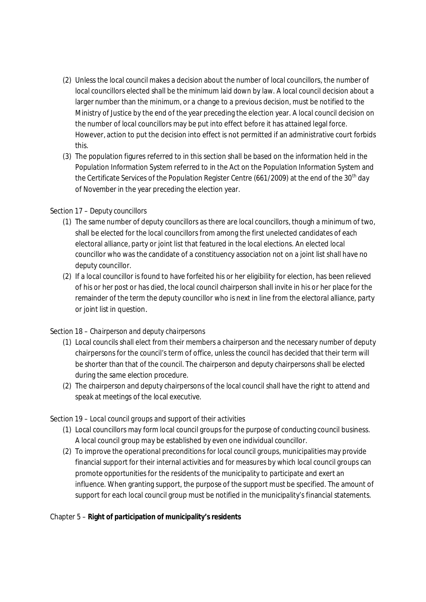- (2) Unless the local council makes a decision about the number of local councillors, the number of local councillors elected shall be the minimum laid down by law. A local council decision about a larger number than the minimum, or a change to a previous decision, must be notified to the Ministry of Justice by the end of the year preceding the election year. A local council decision on the number of local councillors may be put into effect before it has attained legal force. However, action to put the decision into effect is not permitted if an administrative court forbids this.
- (3) The population figures referred to in this section shall be based on the information held in the Population Information System referred to in the Act on the Population Information System and the Certificate Services of the Population Register Centre (661/2009) at the end of the 30<sup>th</sup> day of November in the year preceding the election year.

## Section 17 – *Deputy councillors*

- (1) The same number of deputy councillors as there are local councillors, though a minimum of two, shall be elected for the local councillors from among the first unelected candidates of each electoral alliance, party or joint list that featured in the local elections. An elected local councillor who was the candidate of a constituency association not on a joint list shall have no deputy councillor.
- (2) If a local councillor is found to have forfeited his or her eligibility for election, has been relieved of his or her post or has died, the local council chairperson shall invite in his or her place for the remainder of the term the deputy councillor who is next in line from the electoral alliance, party or joint list in question.

## Section 18 – *Chairperson and deputy chairpersons*

- (1) Local councils shall elect from their members a chairperson and the necessary number of deputy chairpersons for the council's term of office, unless the council has decided that their term will be shorter than that of the council. The chairperson and deputy chairpersons shall be elected during the same election procedure.
- (2) The chairperson and deputy chairpersons of the local council shall have the right to attend and speak at meetings of the local executive.

## Section 19 – *Local council groups and support of their activities*

- (1) Local councillors may form local council groups for the purpose of conducting council business. A local council group may be established by even one individual councillor.
- (2) To improve the operational preconditions for local council groups, municipalities may provide financial support for their internal activities and for measures by which local council groups can promote opportunities for the residents of the municipality to participate and exert an influence. When granting support, the purpose of the support must be specified. The amount of support for each local council group must be notified in the municipality's financial statements.

Chapter 5 – **Right of participation of municipality's residents**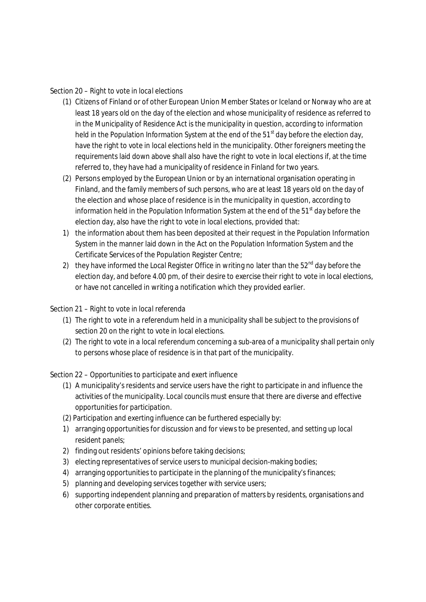### Section 20 – *Right to vote in local elections*

- (1) Citizens of Finland or of other European Union Member States or Iceland or Norway who are at least 18 years old on the day of the election and whose municipality of residence as referred to in the Municipality of Residence Act is the municipality in question, according to information held in the Population Information System at the end of the  $51<sup>st</sup>$  day before the election day, have the right to vote in local elections held in the municipality. Other foreigners meeting the requirements laid down above shall also have the right to vote in local elections if, at the time referred to, they have had a municipality of residence in Finland for two years.
- (2) Persons employed by the European Union or by an international organisation operating in Finland, and the family members of such persons, who are at least 18 years old on the day of the election and whose place of residence is in the municipality in question, according to information held in the Population Information System at the end of the  $51<sup>st</sup>$  day before the election day, also have the right to vote in local elections, provided that:
- 1) the information about them has been deposited at their request in the Population Information System in the manner laid down in the Act on the Population Information System and the Certificate Services of the Population Register Centre;
- 2) they have informed the Local Register Office in writing no later than the  $52<sup>nd</sup>$  day before the election day, and before 4.00 pm, of their desire to exercise their right to vote in local elections, or have not cancelled in writing a notification which they provided earlier.

### Section 21 – *Right to vote in local referenda*

- (1) The right to vote in a referendum held in a municipality shall be subject to the provisions of section 20 on the right to vote in local elections.
- (2) The right to vote in a local referendum concerning a sub-area of a municipality shall pertain only to persons whose place of residence is in that part of the municipality.

### Section 22 – *Opportunities to participate and exert influence*

- (1) A municipality's residents and service users have the right to participate in and influence the activities of the municipality. Local councils must ensure that there are diverse and effective opportunities for participation.
- (2) Participation and exerting influence can be furthered especially by:
- 1) arranging opportunities for discussion and for views to be presented, and setting up local resident panels;
- 2) finding out residents' opinions before taking decisions;
- 3) electing representatives of service users to municipal decision-making bodies;
- 4) arranging opportunities to participate in the planning of the municipality's finances;
- 5) planning and developing services together with service users;
- 6) supporting independent planning and preparation of matters by residents, organisations and other corporate entities.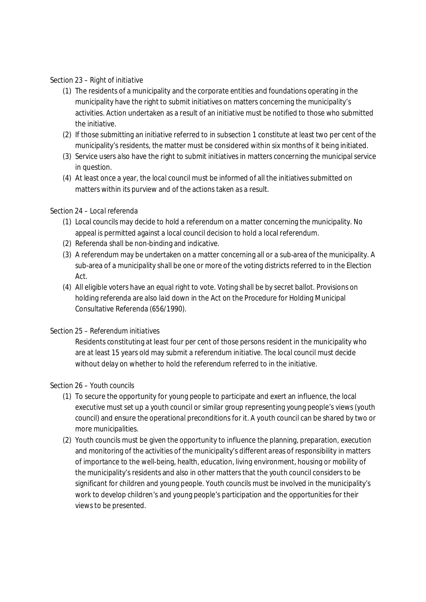### Section 23 – *Right of initiative*

- (1) The residents of a municipality and the corporate entities and foundations operating in the municipality have the right to submit initiatives on matters concerning the municipality's activities. Action undertaken as a result of an initiative must be notified to those who submitted the initiative.
- (2) If those submitting an initiative referred to in subsection 1 constitute at least two per cent of the municipality's residents, the matter must be considered within six months of it being initiated.
- (3) Service users also have the right to submit initiatives in matters concerning the municipal service in question.
- (4) At least once a year, the local council must be informed of all the initiatives submitted on matters within its purview and of the actions taken as a result.

### Section 24 – *Local referenda*

- (1) Local councils may decide to hold a referendum on a matter concerning the municipality. No appeal is permitted against a local council decision to hold a local referendum.
- (2) Referenda shall be non-binding and indicative.
- (3) A referendum may be undertaken on a matter concerning all or a sub-area of the municipality. A sub-area of a municipality shall be one or more of the voting districts referred to in the Election Act.
- (4) All eligible voters have an equal right to vote. Voting shall be by secret ballot. Provisions on holding referenda are also laid down in the Act on the Procedure for Holding Municipal Consultative Referenda (656/1990).

### Section 25 – *Referendum initiatives*

Residents constituting at least four per cent of those persons resident in the municipality who are at least 15 years old may submit a referendum initiative. The local council must decide without delay on whether to hold the referendum referred to in the initiative.

### Section 26 – *Youth councils*

- (1) To secure the opportunity for young people to participate and exert an influence, the local executive must set up a youth council or similar group representing young people's views (*youth council*) and ensure the operational preconditions for it. A youth council can be shared by two or more municipalities.
- (2) Youth councils must be given the opportunity to influence the planning, preparation, execution and monitoring of the activities of the municipality's different areas of responsibility in matters of importance to the well-being, health, education, living environment, housing or mobility of the municipality's residents and also in other matters that the youth council considers to be significant for children and young people. Youth councils must be involved in the municipality's work to develop children's and young people's participation and the opportunities for their views to be presented.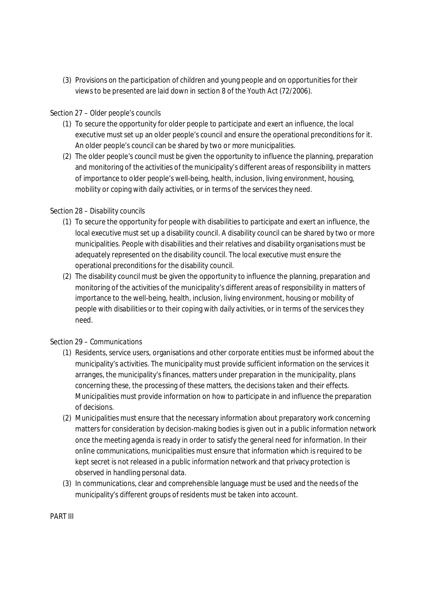(3) Provisions on the participation of children and young people and on opportunities for their views to be presented are laid down in section 8 of the Youth Act (72/2006).

### Section 27 – *Older people's councils*

- (1) To secure the opportunity for older people to participate and exert an influence, the local executive must set up an older people's council and ensure the operational preconditions for it. An older people's council can be shared by two or more municipalities.
- (2) The older people's council must be given the opportunity to influence the planning, preparation and monitoring of the activities of the municipality's different areas of responsibility in matters of importance to older people's well-being, health, inclusion, living environment, housing, mobility or coping with daily activities, or in terms of the services they need.

### Section 28 – *Disability councils*

- (1) To secure the opportunity for people with disabilities to participate and exert an influence, the local executive must set up a disability council. A disability council can be shared by two or more municipalities. People with disabilities and their relatives and disability organisations must be adequately represented on the disability council. The local executive must ensure the operational preconditions for the disability council.
- (2) The disability council must be given the opportunity to influence the planning, preparation and monitoring of the activities of the municipality's different areas of responsibility in matters of importance to the well-being, health, inclusion, living environment, housing or mobility of people with disabilities or to their coping with daily activities, or in terms of the services they need.

### Section 29 – *Communications*

- (1) Residents, service users, organisations and other corporate entities must be informed about the municipality's activities. The municipality must provide sufficient information on the services it arranges, the municipality's finances, matters under preparation in the municipality, plans concerning these, the processing of these matters, the decisions taken and their effects. Municipalities must provide information on how to participate in and influence the preparation of decisions.
- (2) Municipalities must ensure that the necessary information about preparatory work concerning matters for consideration by decision-making bodies is given out in a public information network once the meeting agenda is ready in order to satisfy the general need for information. In their online communications, municipalities must ensure that information which is required to be kept secret is not released in a public information network and that privacy protection is observed in handling personal data.
- (3) In communications, clear and comprehensible language must be used and the needs of the municipality's different groups of residents must be taken into account.

PART III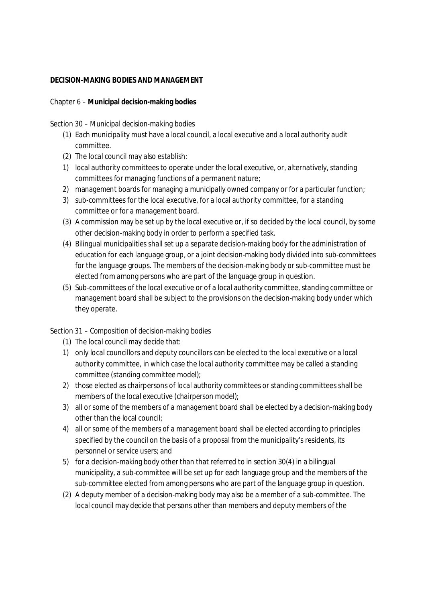### **DECISION-MAKING BODIES AND MANAGEMENT**

Chapter 6 – **Municipal decision-making bodies**

Section 30 – *Municipal decision-making bodies*

- (1) Each municipality must have a local council, a local executive and a local authority audit committee.
- (2) The local council may also establish:
- 1) local authority committees to operate under the local executive, or, alternatively, standing committees for managing functions of a permanent nature;
- 2) management boards for managing a municipally owned company or for a particular function;
- 3) sub-committees for the local executive, for a local authority committee, for a standing committee or for a management board.
- (3) A commission may be set up by the local executive or, if so decided by the local council, by some other decision-making body in order to perform a specified task.
- (4) Bilingual municipalities shall set up a separate decision-making body for the administration of education for each language group, or a joint decision-making body divided into sub-committees for the language groups. The members of the decision-making body or sub-committee must be elected from among persons who are part of the language group in question.
- (5) Sub-committees of the local executive or of a local authority committee, standing committee or management board shall be subject to the provisions on the decision-making body under which they operate.

## Section 31 – *Composition of decision-making bodies*

- (1) The local council may decide that:
- 1) only local councillors and deputy councillors can be elected to the local executive or a local authority committee, in which case the local authority committee may be called a standing committee (*standing committee model*);
- 2) those elected as chairpersons of local authority committees or standing committees shall be members of the local executive (*chairperson model*);
- 3) all or some of the members of a management board shall be elected by a decision-making body other than the local council;
- 4) all or some of the members of a management board shall be elected according to principles specified by the council on the basis of a proposal from the municipality's residents, its personnel or service users; and
- 5) for a decision-making body other than that referred to in section 30(4) in a bilingual municipality, a sub-committee will be set up for each language group and the members of the sub-committee elected from among persons who are part of the language group in question.
- (2) A deputy member of a decision-making body may also be a member of a sub-committee. The local council may decide that persons other than members and deputy members of the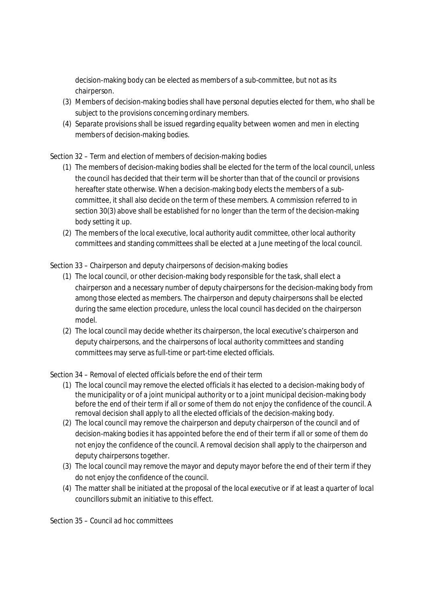decision-making body can be elected as members of a sub-committee, but not as its chairperson.

- (3) Members of decision-making bodies shall have personal deputies elected for them, who shall be subject to the provisions concerning ordinary members.
- (4) Separate provisions shall be issued regarding equality between women and men in electing members of decision-making bodies.

# Section 32 – *Term and election of members of decision-making bodies*

- (1) The members of decision-making bodies shall be elected for the term of the local council, unless the council has decided that their term will be shorter than that of the council or provisions hereafter state otherwise. When a decision-making body elects the members of a subcommittee, it shall also decide on the term of these members. A commission referred to in section 30(3) above shall be established for no longer than the term of the decision-making body setting it up.
- (2) The members of the local executive, local authority audit committee, other local authority committees and standing committees shall be elected at a June meeting of the local council.

# Section 33 – *Chairperson and deputy chairpersons of decision-making bodies*

- (1) The local council, or other decision-making body responsible for the task, shall elect a chairperson and a necessary number of deputy chairpersons for the decision-making body from among those elected as members. The chairperson and deputy chairpersons shall be elected during the same election procedure, unless the local council has decided on the chairperson model.
- (2) The local council may decide whether its chairperson, the local executive's chairperson and deputy chairpersons, and the chairpersons of local authority committees and standing committees may serve as full-time or part-time elected officials.

## Section 34 – *Removal of elected officials before the end of their term*

- (1) The local council may remove the elected officials it has elected to a decision-making body of the municipality or of a joint municipal authority or to a joint municipal decision-making body before the end of their term if all or some of them do not enjoy the confidence of the council. A removal decision shall apply to all the elected officials of the decision-making body.
- (2) The local council may remove the chairperson and deputy chairperson of the council and of decision-making bodies it has appointed before the end of their term if all or some of them do not enjoy the confidence of the council. A removal decision shall apply to the chairperson and deputy chairpersons together.
- (3) The local council may remove the mayor and deputy mayor before the end of their term if they do not enjoy the confidence of the council.
- (4) The matter shall be initiated at the proposal of the local executive or if at least a quarter of local councillors submit an initiative to this effect.

Section 35 – *Council ad hoc committees*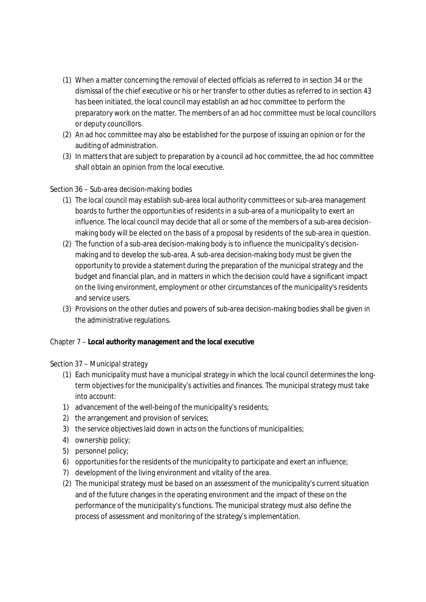- (1) When a matter concerning the removal of elected officials as referred to in section 34 or the dismissal of the chief executive or his or her transfer to other duties as referred to in section 43 has been initiated, the local council may establish an ad hoc committee to perform the preparatory work on the matter. The members of an ad hoc committee must be local councillors or deputy councillors.
- (2) An ad hoc committee may also be established for the purpose of issuing an opinion or for the auditing of administration.
- (3) In matters that are subject to preparation by a council ad hoc committee, the ad hoc committee shall obtain an opinion from the local executive.

## Section 36 – *Sub-area decision-making bodies*

- (1) The local council may establish sub-area local authority committees or sub-area management boards to further the opportunities of residents in a sub-area of a municipality to exert an influence. The local council may decide that all or some of the members of a sub-area decisionmaking body will be elected on the basis of a proposal by residents of the sub-area in question.
- (2) The function of a sub-area decision-making body is to influence the municipality's decisionmaking and to develop the sub-area. A sub-area decision-making body must be given the opportunity to provide a statement during the preparation of the municipal strategy and the budget and financial plan, and in matters in which the decision could have a significant impact on the living environment, employment or other circumstances of the municipality's residents and service users.
- (3) Provisions on the other duties and powers of sub-area decision-making bodies shall be given in the administrative regulations.

Chapter 7 – **Local authority management and the local executive**

### Section 37 – *Municipal strategy*

- (1) Each municipality must have a municipal strategy in which the local council determines the longterm objectives for the municipality's activities and finances. The municipal strategy must take into account:
- 1) advancement of the well-being of the municipality's residents;
- 2) the arrangement and provision of services;
- 3) the service objectives laid down in acts on the functions of municipalities;
- 4) ownership policy;
- 5) personnel policy;
- 6) opportunities for the residents of the municipality to participate and exert an influence;
- 7) development of the living environment and vitality of the area.
- (2) The municipal strategy must be based on an assessment of the municipality's current situation and of the future changes in the operating environment and the impact of these on the performance of the municipality's functions. The municipal strategy must also define the process of assessment and monitoring of the strategy's implementation.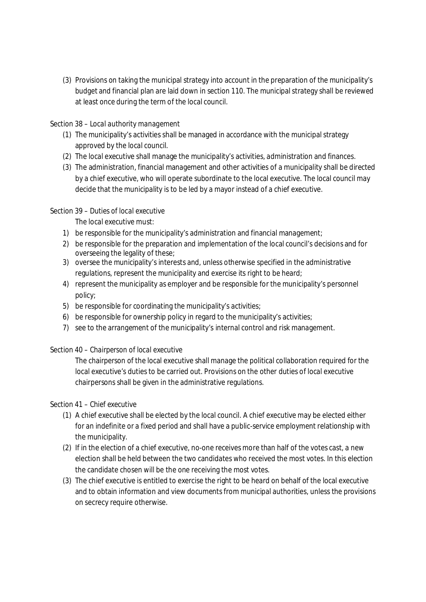(3) Provisions on taking the municipal strategy into account in the preparation of the municipality's budget and financial plan are laid down in section 110. The municipal strategy shall be reviewed at least once during the term of the local council.

### Section 38 – *Local authority management*

- (1) The municipality's activities shall be managed in accordance with the municipal strategy approved by the local council.
- (2) The local executive shall manage the municipality's activities, administration and finances.
- (3) The administration, financial management and other activities of a municipality shall be directed by a chief executive, who will operate subordinate to the local executive. The local council may decide that the municipality is to be led by a mayor instead of a chief executive.

### Section 39 – *Duties of local executive*

The local executive must:

- 1) be responsible for the municipality's administration and financial management;
- 2) be responsible for the preparation and implementation of the local council's decisions and for overseeing the legality of these;
- 3) oversee the municipality's interests and, unless otherwise specified in the administrative regulations, represent the municipality and exercise its right to be heard;
- 4) represent the municipality as employer and be responsible for the municipality's personnel policy;
- 5) be responsible for coordinating the municipality's activities;
- 6) be responsible for ownership policy in regard to the municipality's activities;
- 7) see to the arrangement of the municipality's internal control and risk management.

### Section 40 – *Chairperson of local executive*

The chairperson of the local executive shall manage the political collaboration required for the local executive's duties to be carried out. Provisions on the other duties of local executive chairpersons shall be given in the administrative regulations.

### Section 41 – *Chief executive*

- (1) A chief executive shall be elected by the local council. A chief executive may be elected either for an indefinite or a fixed period and shall have a public-service employment relationship with the municipality.
- (2) If in the election of a chief executive, no-one receives more than half of the votes cast, a new election shall be held between the two candidates who received the most votes. In this election the candidate chosen will be the one receiving the most votes.
- (3) The chief executive is entitled to exercise the right to be heard on behalf of the local executive and to obtain information and view documents from municipal authorities, unless the provisions on secrecy require otherwise.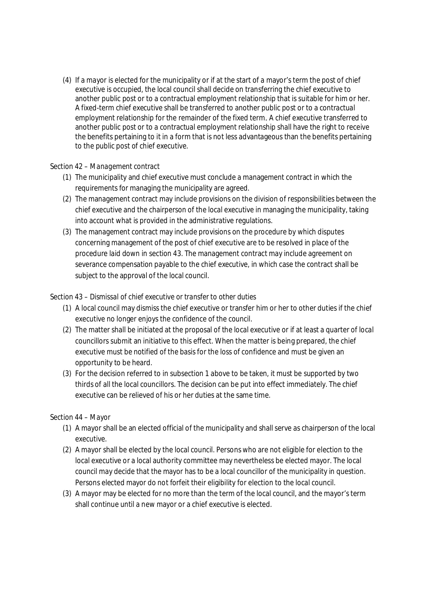(4) If a mayor is elected for the municipality or if at the start of a mayor's term the post of chief executive is occupied, the local council shall decide on transferring the chief executive to another public post or to a contractual employment relationship that is suitable for him or her. A fixed-term chief executive shall be transferred to another public post or to a contractual employment relationship for the remainder of the fixed term. A chief executive transferred to another public post or to a contractual employment relationship shall have the right to receive the benefits pertaining to it in a form that is not less advantageous than the benefits pertaining to the public post of chief executive.

### Section 42 – *Management contract*

- (1) The municipality and chief executive must conclude a management contract in which the requirements for managing the municipality are agreed.
- (2) The management contract may include provisions on the division of responsibilities between the chief executive and the chairperson of the local executive in managing the municipality, taking into account what is provided in the administrative regulations.
- (3) The management contract may include provisions on the procedure by which disputes concerning management of the post of chief executive are to be resolved in place of the procedure laid down in section 43. The management contract may include agreement on severance compensation payable to the chief executive, in which case the contract shall be subject to the approval of the local council.

### Section 43 – *Dismissal of chief executive or transfer to other duties*

- (1) A local council may dismiss the chief executive or transfer him or her to other duties if the chief executive no longer enjoys the confidence of the council.
- (2) The matter shall be initiated at the proposal of the local executive or if at least a quarter of local councillors submit an initiative to this effect. When the matter is being prepared, the chief executive must be notified of the basis for the loss of confidence and must be given an opportunity to be heard.
- (3) For the decision referred to in subsection 1 above to be taken, it must be supported by two thirds of all the local councillors. The decision can be put into effect immediately. The chief executive can be relieved of his or her duties at the same time.

### Section 44 – *Mayor*

- (1) A mayor shall be an elected official of the municipality and shall serve as chairperson of the local executive.
- (2) A mayor shall be elected by the local council. Persons who are not eligible for election to the local executive or a local authority committee may nevertheless be elected mayor. The local council may decide that the mayor has to be a local councillor of the municipality in question. Persons elected mayor do not forfeit their eligibility for election to the local council.
- (3) A mayor may be elected for no more than the term of the local council, and the mayor's term shall continue until a new mayor or a chief executive is elected.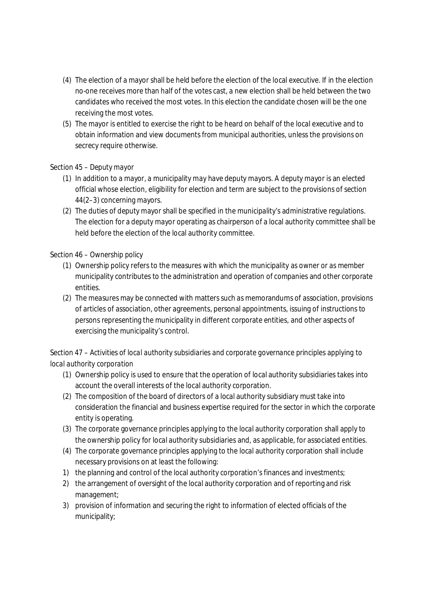- (4) The election of a mayor shall be held before the election of the local executive. If in the election no-one receives more than half of the votes cast, a new election shall be held between the two candidates who received the most votes. In this election the candidate chosen will be the one receiving the most votes.
- (5) The mayor is entitled to exercise the right to be heard on behalf of the local executive and to obtain information and view documents from municipal authorities, unless the provisions on secrecy require otherwise.

## Section 45 – *Deputy mayor*

- (1) In addition to a mayor, a municipality may have deputy mayors. A deputy mayor is an elected official whose election, eligibility for election and term are subject to the provisions of section 44(2–3) concerning mayors.
- (2) The duties of deputy mayor shall be specified in the municipality's administrative regulations. The election for a deputy mayor operating as chairperson of a local authority committee shall be held before the election of the local authority committee.

### Section 46 – *Ownership policy*

- (1) Ownership policy refers to the measures with which the municipality as owner or as member municipality contributes to the administration and operation of companies and other corporate entities.
- (2) The measures may be connected with matters such as memorandums of association, provisions of articles of association, other agreements, personal appointments, issuing of instructions to persons representing the municipality in different corporate entities, and other aspects of exercising the municipality's control.

# Section 47 – *Activities of local authority subsidiaries and corporate governance principles applying to local authority corporation*

- (1) Ownership policy is used to ensure that the operation of local authority subsidiaries takes into account the overall interests of the local authority corporation.
- (2) The composition of the board of directors of a local authority subsidiary must take into consideration the financial and business expertise required for the sector in which the corporate entity is operating.
- (3) The corporate governance principles applying to the local authority corporation shall apply to the ownership policy for local authority subsidiaries and, as applicable, for associated entities.
- (4) The corporate governance principles applying to the local authority corporation shall include necessary provisions on at least the following:
- 1) the planning and control of the local authority corporation's finances and investments;
- 2) the arrangement of oversight of the local authority corporation and of reporting and risk management;
- 3) provision of information and securing the right to information of elected officials of the municipality;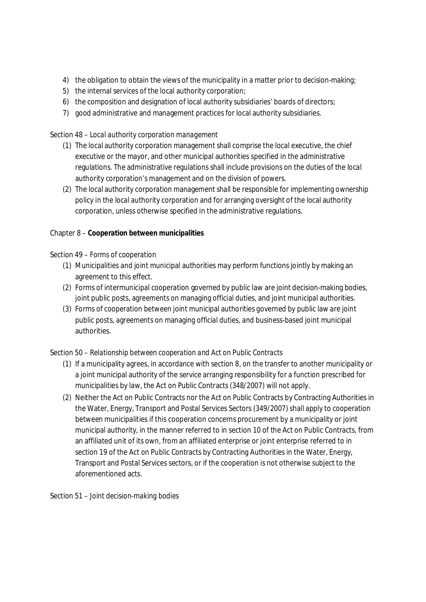- 4) the obligation to obtain the views of the municipality in a matter prior to decision-making;
- 5) the internal services of the local authority corporation;
- 6) the composition and designation of local authority subsidiaries' boards of directors;
- 7) good administrative and management practices for local authority subsidiaries.

### Section 48 – *Local authority corporation management*

- (1) The local authority corporation management shall comprise the local executive, the chief executive or the mayor, and other municipal authorities specified in the administrative regulations. The administrative regulations shall include provisions on the duties of the local authority corporation's management and on the division of powers.
- (2) The local authority corporation management shall be responsible for implementing ownership policy in the local authority corporation and for arranging oversight of the local authority corporation, unless otherwise specified in the administrative regulations.

Chapter 8 – **Cooperation between municipalities**

### Section 49 – *Forms of cooperation*

- (1) Municipalities and joint municipal authorities may perform functions jointly by making an agreement to this effect.
- (2) Forms of intermunicipal cooperation governed by public law are joint decision-making bodies, joint public posts, agreements on managing official duties, and joint municipal authorities.
- (3) Forms of cooperation between joint municipal authorities governed by public law are joint public posts, agreements on managing official duties, and business-based joint municipal authorities.

### Section 50 – *Relationship between cooperation and Act on Public Contracts*

- (1) If a municipality agrees, in accordance with section 8, on the transfer to another municipality or a joint municipal authority of the service arranging responsibility for a function prescribed for municipalities by law, the Act on Public Contracts (348/2007) will not apply.
- (2) Neither the Act on Public Contracts nor the Act on Public Contracts by Contracting Authorities in the Water, Energy, Transport and Postal Services Sectors (349/2007) shall apply to cooperation between municipalities if this cooperation concerns procurement by a municipality or joint municipal authority, in the manner referred to in section 10 of the Act on Public Contracts, from an affiliated unit of its own, from an affiliated enterprise or joint enterprise referred to in section 19 of the Act on Public Contracts by Contracting Authorities in the Water, Energy, Transport and Postal Services sectors, or if the cooperation is not otherwise subject to the aforementioned acts.

Section 51 – *Joint decision-making bodies*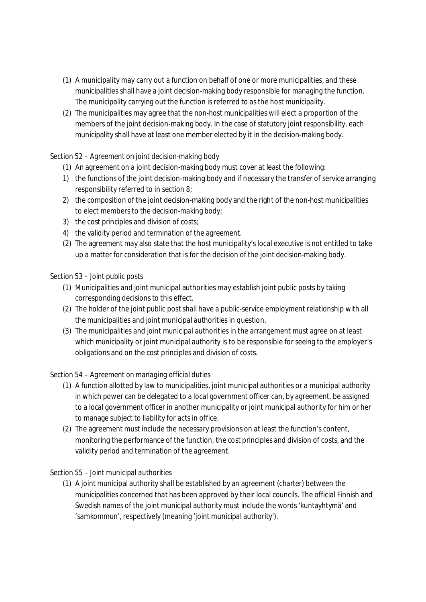- (1) A municipality may carry out a function on behalf of one or more municipalities, and these municipalities shall have a joint decision-making body responsible for managing the function. The municipality carrying out the function is referred to as the host municipality.
- (2) The municipalities may agree that the non-host municipalities will elect a proportion of the members of the joint decision-making body. In the case of statutory joint responsibility, each municipality shall have at least one member elected by it in the decision-making body.

# Section 52 – *Agreement on joint decision-making body*

- (1) An agreement on a joint decision-making body must cover at least the following:
- 1) the functions of the joint decision-making body and if necessary the transfer of service arranging responsibility referred to in section 8;
- 2) the composition of the joint decision-making body and the right of the non-host municipalities to elect members to the decision-making body;
- 3) the cost principles and division of costs;
- 4) the validity period and termination of the agreement.
- (2) The agreement may also state that the host municipality's local executive is not entitled to take up a matter for consideration that is for the decision of the joint decision-making body.

## Section 53 – *Joint public posts*

- (1) Municipalities and joint municipal authorities may establish joint public posts by taking corresponding decisions to this effect.
- (2) The holder of the joint public post shall have a public-service employment relationship with all the municipalities and joint municipal authorities in question.
- (3) The municipalities and joint municipal authorities in the arrangement must agree on at least which municipality or joint municipal authority is to be responsible for seeing to the employer's obligations and on the cost principles and division of costs.

## Section 54 – *Agreement on managing official duties*

- (1) A function allotted by law to municipalities, joint municipal authorities or a municipal authority in which power can be delegated to a local government officer can, by agreement, be assigned to a local government officer in another municipality or joint municipal authority for him or her to manage subject to liability for acts in office.
- (2) The agreement must include the necessary provisions on at least the function's content, monitoring the performance of the function, the cost principles and division of costs, and the validity period and termination of the agreement.

## Section 55 – *Joint municipal authorities*

(1) A joint municipal authority shall be established by an agreement (*charter*) between the municipalities concerned that has been approved by their local councils. The official Finnish and Swedish names of the joint municipal authority must include the words 'kuntayhtymä' and 'samkommun', respectively (meaning 'joint municipal authority').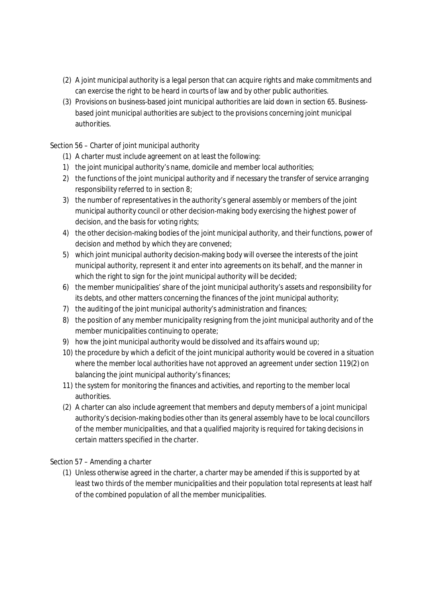- (2) A joint municipal authority is a legal person that can acquire rights and make commitments and can exercise the right to be heard in courts of law and by other public authorities.
- (3) Provisions on business-based joint municipal authorities are laid down in section 65. Businessbased joint municipal authorities are subject to the provisions concerning joint municipal authorities.

### Section 56 – *Charter of joint municipal authority*

- (1) A charter must include agreement on at least the following:
- 1) the joint municipal authority's name, domicile and member local authorities;
- 2) the functions of the joint municipal authority and if necessary the transfer of service arranging responsibility referred to in section 8;
- 3) the number of representatives in the authority's general assembly or members of the joint municipal authority council or other decision-making body exercising the highest power of decision, and the basis for voting rights;
- 4) the other decision-making bodies of the joint municipal authority, and their functions, power of decision and method by which they are convened;
- 5) which joint municipal authority decision-making body will oversee the interests of the joint municipal authority, represent it and enter into agreements on its behalf, and the manner in which the right to sign for the joint municipal authority will be decided;
- 6) the member municipalities' share of the joint municipal authority's assets and responsibility for its debts, and other matters concerning the finances of the joint municipal authority;
- 7) the auditing of the joint municipal authority's administration and finances;
- 8) the position of any member municipality resigning from the joint municipal authority and of the member municipalities continuing to operate;
- 9) how the joint municipal authority would be dissolved and its affairs wound up;
- 10) the procedure by which a deficit of the joint municipal authority would be covered in a situation where the member local authorities have not approved an agreement under section 119(2) on balancing the joint municipal authority's finances;
- 11) the system for monitoring the finances and activities, and reporting to the member local authorities.
- (2) A charter can also include agreement that members and deputy members of a joint municipal authority's decision-making bodies other than its general assembly have to be local councillors of the member municipalities, and that a qualified majority is required for taking decisions in certain matters specified in the charter.

### Section 57 – *Amending a charter*

(1) Unless otherwise agreed in the charter, a charter may be amended if this is supported by at least two thirds of the member municipalities and their population total represents at least half of the combined population of all the member municipalities.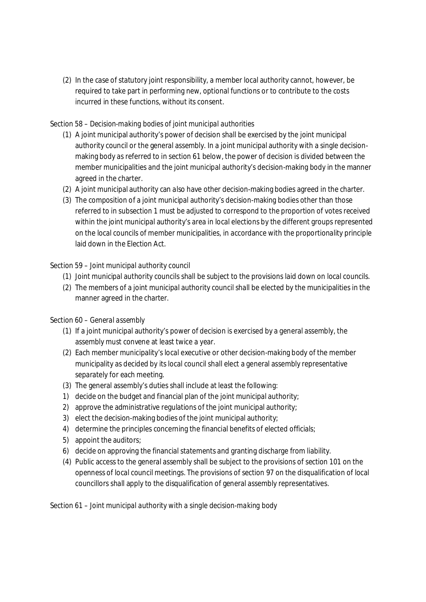(2) In the case of statutory joint responsibility, a member local authority cannot, however, be required to take part in performing new, optional functions or to contribute to the costs incurred in these functions, without its consent.

## Section 58 – *Decision-making bodies of joint municipal authorities*

- (1) A joint municipal authority's power of decision shall be exercised by the joint municipal authority council or the general assembly. In a joint municipal authority with a single decisionmaking body as referred to in section 61 below, the power of decision is divided between the member municipalities and the joint municipal authority's decision-making body in the manner agreed in the charter.
- (2) A joint municipal authority can also have other decision-making bodies agreed in the charter.
- (3) The composition of a joint municipal authority's decision-making bodies other than those referred to in subsection 1 must be adjusted to correspond to the proportion of votes received within the joint municipal authority's area in local elections by the different groups represented on the local councils of member municipalities, in accordance with the proportionality principle laid down in the Election Act.

### Section 59 – *Joint municipal authority council*

- (1) Joint municipal authority councils shall be subject to the provisions laid down on local councils.
- (2) The members of a joint municipal authority council shall be elected by the municipalities in the manner agreed in the charter.

## Section 60 – *General assembly*

- (1) If a joint municipal authority's power of decision is exercised by a general assembly, the assembly must convene at least twice a year.
- (2) Each member municipality's local executive or other decision-making body of the member municipality as decided by its local council shall elect a general assembly representative separately for each meeting.
- (3) The general assembly's duties shall include at least the following:
- 1) decide on the budget and financial plan of the joint municipal authority;
- 2) approve the administrative regulations of the joint municipal authority;
- 3) elect the decision-making bodies of the joint municipal authority;
- 4) determine the principles concerning the financial benefits of elected officials;
- 5) appoint the auditors;
- 6) decide on approving the financial statements and granting discharge from liability.
- (4) Public access to the general assembly shall be subject to the provisions of section 101 on the openness of local council meetings. The provisions of section 97 on the disqualification of local councillors shall apply to the disqualification of general assembly representatives.

### Section 61 – *Joint municipal authority with a single decision-making body*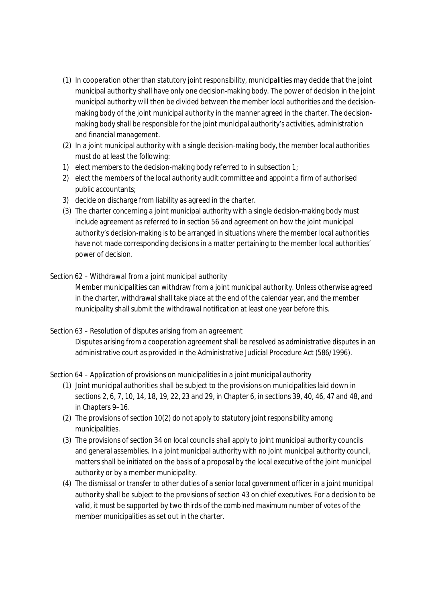- (1) In cooperation other than statutory joint responsibility, municipalities may decide that the joint municipal authority shall have only one decision-making body. The power of decision in the joint municipal authority will then be divided between the member local authorities and the decisionmaking body of the joint municipal authority in the manner agreed in the charter. The decisionmaking body shall be responsible for the joint municipal authority's activities, administration and financial management.
- (2) In a joint municipal authority with a single decision-making body, the member local authorities must do at least the following:
- 1) elect members to the decision-making body referred to in subsection 1;
- 2) elect the members of the local authority audit committee and appoint a firm of authorised public accountants;
- 3) decide on discharge from liability as agreed in the charter.
- (3) The charter concerning a joint municipal authority with a single decision-making body must include agreement as referred to in section 56 and agreement on how the joint municipal authority's decision-making is to be arranged in situations where the member local authorities have not made corresponding decisions in a matter pertaining to the member local authorities' power of decision.

### Section 62 – *Withdrawal from a joint municipal authority*

Member municipalities can withdraw from a joint municipal authority. Unless otherwise agreed in the charter, withdrawal shall take place at the end of the calendar year, and the member municipality shall submit the withdrawal notification at least one year before this.

### Section 63 – *Resolution of disputes arising from an agreement*

Disputes arising from a cooperation agreement shall be resolved as administrative disputes in an administrative court as provided in the Administrative Judicial Procedure Act (586/1996).

Section 64 – *Application of provisions on municipalities in a joint municipal authority*

- (1) Joint municipal authorities shall be subject to the provisions on municipalities laid down in sections 2, 6, 7, 10, 14, 18, 19, 22, 23 and 29, in Chapter 6, in sections 39, 40, 46, 47 and 48, and in Chapters 9–16.
- (2) The provisions of section 10(2) do not apply to statutory joint responsibility among municipalities.
- (3) The provisions of section 34 on local councils shall apply to joint municipal authority councils and general assemblies. In a joint municipal authority with no joint municipal authority council, matters shall be initiated on the basis of a proposal by the local executive of the joint municipal authority or by a member municipality.
- (4) The dismissal or transfer to other duties of a senior local government officer in a joint municipal authority shall be subject to the provisions of section 43 on chief executives. For a decision to be valid, it must be supported by two thirds of the combined maximum number of votes of the member municipalities as set out in the charter.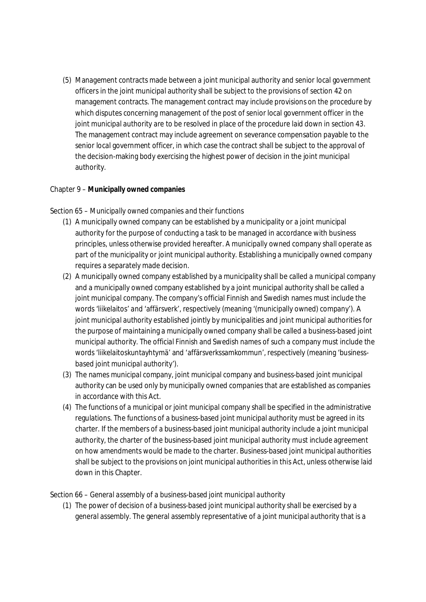(5) Management contracts made between a joint municipal authority and senior local government officers in the joint municipal authority shall be subject to the provisions of section 42 on management contracts. The management contract may include provisions on the procedure by which disputes concerning management of the post of senior local government officer in the joint municipal authority are to be resolved in place of the procedure laid down in section 43. The management contract may include agreement on severance compensation payable to the senior local government officer, in which case the contract shall be subject to the approval of the decision-making body exercising the highest power of decision in the joint municipal authority.

### Chapter 9 – **Municipally owned companies**

### Section 65 – *Municipally owned companies and their functions*

- (1) A municipally owned company can be established by a municipality or a joint municipal authority for the purpose of conducting a task to be managed in accordance with business principles, unless otherwise provided hereafter. A municipally owned company shall operate as part of the municipality or joint municipal authority. Establishing a municipally owned company requires a separately made decision.
- (2) A municipally owned company established by a municipality shall be called a municipal company and a municipally owned company established by a joint municipal authority shall be called a joint municipal company. The company's official Finnish and Swedish names must include the words 'liikelaitos' and 'affärsverk', respectively (meaning '(municipally owned) company'). A joint municipal authority established jointly by municipalities and joint municipal authorities for the purpose of maintaining a municipally owned company shall be called a business-based joint municipal authority. The official Finnish and Swedish names of such a company must include the words 'liikelaitoskuntayhtymä' and 'affärsverkssamkommun', respectively (meaning 'businessbased joint municipal authority').
- (3) The names municipal company, joint municipal company and business-based joint municipal authority can be used only by municipally owned companies that are established as companies in accordance with this Act.
- (4) The functions of a municipal or joint municipal company shall be specified in the administrative regulations. The functions of a business-based joint municipal authority must be agreed in its charter. If the members of a business-based joint municipal authority include a joint municipal authority, the charter of the business-based joint municipal authority must include agreement on how amendments would be made to the charter. Business-based joint municipal authorities shall be subject to the provisions on joint municipal authorities in this Act, unless otherwise laid down in this Chapter.

### Section 66 – *General assembly of a business-based joint municipal authority*

(1) The power of decision of a business-based joint municipal authority shall be exercised by a general assembly. The general assembly representative of a joint municipal authority that is a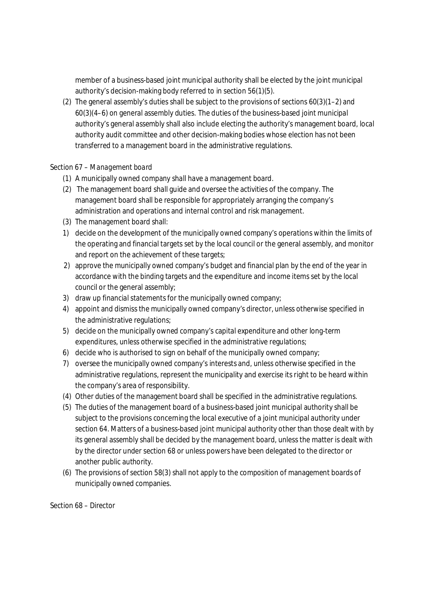member of a business-based joint municipal authority shall be elected by the joint municipal authority's decision-making body referred to in section 56(1)(5).

(2) The general assembly's duties shall be subject to the provisions of sections 60(3)(1–2) and  $60(3)(4-6)$  on general assembly duties. The duties of the business-based joint municipal authority's general assembly shall also include electing the authority's management board, local authority audit committee and other decision-making bodies whose election has not been transferred to a management board in the administrative regulations.

### Section 67 – *Management board*

- (1) A municipally owned company shall have a management board.
- (2) The management board shall guide and oversee the activities of the company. The management board shall be responsible for appropriately arranging the company's administration and operations and internal control and risk management.
- (3) The management board shall:
- 1) decide on the development of the municipally owned company's operations within the limits of the operating and financial targets set by the local council or the general assembly, and monitor and report on the achievement of these targets;
- 2) approve the municipally owned company's budget and financial plan by the end of the year in accordance with the binding targets and the expenditure and income items set by the local council or the general assembly;
- 3) draw up financial statements for the municipally owned company;
- 4) appoint and dismiss the municipally owned company's director, unless otherwise specified in the administrative regulations;
- 5) decide on the municipally owned company's capital expenditure and other long-term expenditures, unless otherwise specified in the administrative regulations;
- 6) decide who is authorised to sign on behalf of the municipally owned company;
- 7) oversee the municipally owned company's interests and, unless otherwise specified in the administrative regulations, represent the municipality and exercise its right to be heard within the company's area of responsibility.
- (4) Other duties of the management board shall be specified in the administrative regulations.
- (5) The duties of the management board of a business-based joint municipal authority shall be subject to the provisions concerning the local executive of a joint municipal authority under section 64. Matters of a business-based joint municipal authority other than those dealt with by its general assembly shall be decided by the management board, unless the matter is dealt with by the director under section 68 or unless powers have been delegated to the director or another public authority.
- (6) The provisions of section 58(3) shall not apply to the composition of management boards of municipally owned companies.

Section 68 – *Director*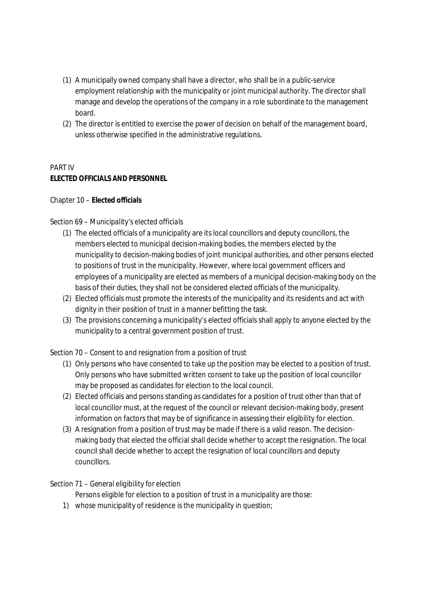- (1) A municipally owned company shall have a director, who shall be in a public-service employment relationship with the municipality or joint municipal authority. The director shall manage and develop the operations of the company in a role subordinate to the management board.
- (2) The director is entitled to exercise the power of decision on behalf of the management board, unless otherwise specified in the administrative regulations.

# PART IV **ELECTED OFFICIALS AND PERSONNEL**

### Chapter 10 – **Elected officials**

## Section 69 – *Municipality's elected officials*

- (1) The elected officials of a municipality are its local councillors and deputy councillors, the members elected to municipal decision-making bodies, the members elected by the municipality to decision-making bodies of joint municipal authorities, and other persons elected to positions of trust in the municipality. However, where local government officers and employees of a municipality are elected as members of a municipal decision-making body on the basis of their duties, they shall not be considered elected officials of the municipality.
- (2) Elected officials must promote the interests of the municipality and its residents and act with dignity in their position of trust in a manner befitting the task.
- (3) The provisions concerning a municipality's elected officials shall apply to anyone elected by the municipality to a central government position of trust.

## Section 70 – *Consent to and resignation from a position of trust*

- (1) Only persons who have consented to take up the position may be elected to a position of trust. Only persons who have submitted written consent to take up the position of local councillor may be proposed as candidates for election to the local council.
- (2) Elected officials and persons standing as candidates for a position of trust other than that of local councillor must, at the request of the council or relevant decision-making body, present information on factors that may be of significance in assessing their eligibility for election.
- (3) A resignation from a position of trust may be made if there is a valid reason. The decisionmaking body that elected the official shall decide whether to accept the resignation. The local council shall decide whether to accept the resignation of local councillors and deputy councillors.

### Section 71 – *General eligibility for election*

Persons eligible for election to a position of trust in a municipality are those:

1) whose municipality of residence is the municipality in question;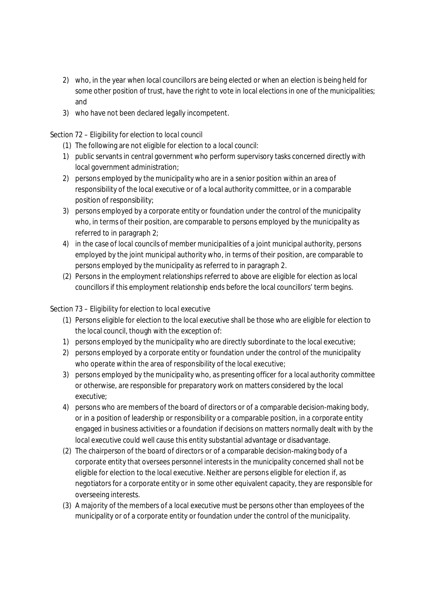- 2) who, in the year when local councillors are being elected or when an election is being held for some other position of trust, have the right to vote in local elections in one of the municipalities; and
- 3) who have not been declared legally incompetent.

## Section 72 – *Eligibility for election to local council*

- (1) The following are not eligible for election to a local council:
- 1) public servants in central government who perform supervisory tasks concerned directly with local government administration;
- 2) persons employed by the municipality who are in a senior position within an area of responsibility of the local executive or of a local authority committee, or in a comparable position of responsibility;
- 3) persons employed by a corporate entity or foundation under the control of the municipality who, in terms of their position, are comparable to persons employed by the municipality as referred to in paragraph 2;
- 4) in the case of local councils of member municipalities of a joint municipal authority, persons employed by the joint municipal authority who, in terms of their position, are comparable to persons employed by the municipality as referred to in paragraph 2.
- (2) Persons in the employment relationships referred to above are eligible for election as local councillors if this employment relationship ends before the local councillors' term begins.

## Section 73 – *Eligibility for election to local executive*

- (1) Persons eligible for election to the local executive shall be those who are eligible for election to the local council, though with the exception of:
- 1) persons employed by the municipality who are directly subordinate to the local executive;
- 2) persons employed by a corporate entity or foundation under the control of the municipality who operate within the area of responsibility of the local executive;
- 3) persons employed by the municipality who, as presenting officer for a local authority committee or otherwise, are responsible for preparatory work on matters considered by the local executive;
- 4) persons who are members of the board of directors or of a comparable decision-making body, or in a position of leadership or responsibility or a comparable position, in a corporate entity engaged in business activities or a foundation if decisions on matters normally dealt with by the local executive could well cause this entity substantial advantage or disadvantage.
- (2) The chairperson of the board of directors or of a comparable decision-making body of a corporate entity that oversees personnel interests in the municipality concerned shall not be eligible for election to the local executive. Neither are persons eligible for election if, as negotiators for a corporate entity or in some other equivalent capacity, they are responsible for overseeing interests.
- (3) A majority of the members of a local executive must be persons other than employees of the municipality or of a corporate entity or foundation under the control of the municipality.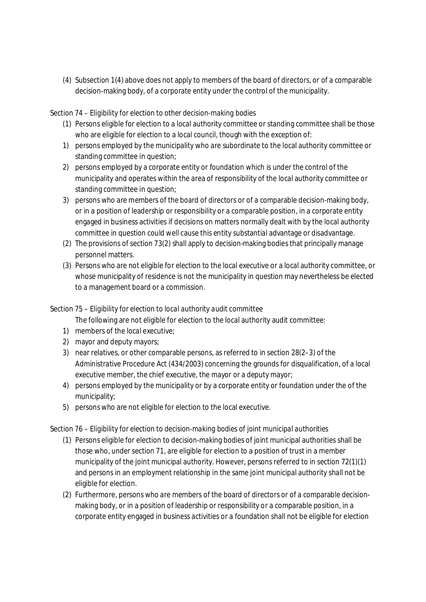(4) Subsection 1(4) above does not apply to members of the board of directors, or of a comparable decision-making body, of a corporate entity under the control of the municipality.

### Section 74 – *Eligibility for election to other decision-making bodies*

- (1) Persons eligible for election to a local authority committee or standing committee shall be those who are eligible for election to a local council, though with the exception of:
- 1) persons employed by the municipality who are subordinate to the local authority committee or standing committee in question;
- 2) persons employed by a corporate entity or foundation which is under the control of the municipality and operates within the area of responsibility of the local authority committee or standing committee in question;
- 3) persons who are members of the board of directors or of a comparable decision-making body, or in a position of leadership or responsibility or a comparable position, in a corporate entity engaged in business activities if decisions on matters normally dealt with by the local authority committee in question could well cause this entity substantial advantage or disadvantage.
- (2) The provisions of section 73(2) shall apply to decision-making bodies that principally manage personnel matters.
- (3) Persons who are not eligible for election to the local executive or a local authority committee, or whose municipality of residence is not the municipality in question may nevertheless be elected to a management board or a commission.

## Section 75 – *Eligibility for election to local authority audit committee*

The following are not eligible for election to the local authority audit committee:

- 1) members of the local executive;
- 2) mayor and deputy mayors;
- 3) near relatives, or other comparable persons, as referred to in section 28(2–3) of the Administrative Procedure Act (434/2003) concerning the grounds for disqualification, of a local executive member, the chief executive, the mayor or a deputy mayor;
- 4) persons employed by the municipality or by a corporate entity or foundation under the of the municipality;
- 5) persons who are not eligible for election to the local executive.

### Section 76 – *Eligibility for election to decision-making bodies of joint municipal authorities*

- (1) Persons eligible for election to decision-making bodies of joint municipal authorities shall be those who, under section 71, are eligible for election to a position of trust in a member municipality of the joint municipal authority. However, persons referred to in section 72(1)(1) and persons in an employment relationship in the same joint municipal authority shall not be eligible for election.
- (2) Furthermore, persons who are members of the board of directors or of a comparable decisionmaking body, or in a position of leadership or responsibility or a comparable position, in a corporate entity engaged in business activities or a foundation shall not be eligible for election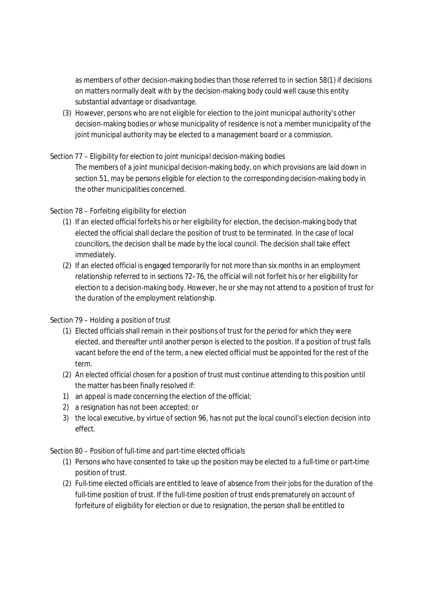as members of other decision-making bodies than those referred to in section 58(1) if decisions on matters normally dealt with by the decision-making body could well cause this entity substantial advantage or disadvantage.

(3) However, persons who are not eligible for election to the joint municipal authority's other decision-making bodies or whose municipality of residence is not a member municipality of the joint municipal authority may be elected to a management board or a commission.

## Section 77 – *Eligibility for election to joint municipal decision-making bodies*

The members of a joint municipal decision-making body, on which provisions are laid down in section 51, may be persons eligible for election to the corresponding decision-making body in the other municipalities concerned.

### Section 78 – *Forfeiting eligibility for election*

- (1) If an elected official forfeits his or her eligibility for election, the decision-making body that elected the official shall declare the position of trust to be terminated. In the case of local councillors, the decision shall be made by the local council. The decision shall take effect immediately.
- (2) If an elected official is engaged temporarily for not more than six months in an employment relationship referred to in sections 72–76, the official will not forfeit his or her eligibility for election to a decision-making body. However, he or she may not attend to a position of trust for the duration of the employment relationship.

## Section 79 – *Holding a position of trust*

- (1) Elected officials shall remain in their positions of trust for the period for which they were elected, and thereafter until another person is elected to the position. If a position of trust falls vacant before the end of the term, a new elected official must be appointed for the rest of the term.
- (2) An elected official chosen for a position of trust must continue attending to this position until the matter has been finally resolved if:
- 1) an appeal is made concerning the election of the official;
- 2) a resignation has not been accepted; or
- 3) the local executive, by virtue of section 96, has not put the local council's election decision into effect.

## Section 80 – *Position of full-time and part-time elected officials*

- (1) Persons who have consented to take up the position may be elected to a full-time or part-time position of trust.
- (2) Full-time elected officials are entitled to leave of absence from their jobs for the duration of the full-time position of trust. If the full-time position of trust ends prematurely on account of forfeiture of eligibility for election or due to resignation, the person shall be entitled to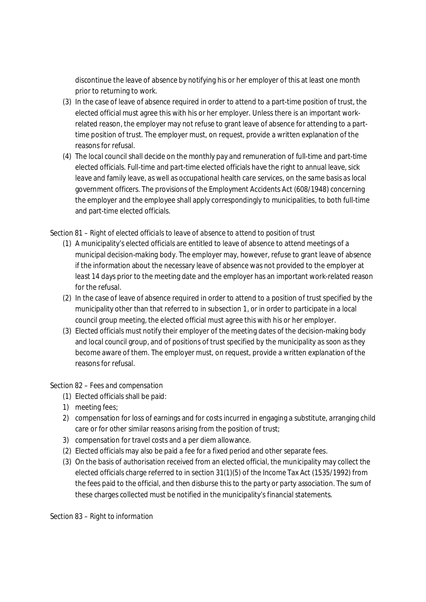discontinue the leave of absence by notifying his or her employer of this at least one month prior to returning to work.

- (3) In the case of leave of absence required in order to attend to a part-time position of trust, the elected official must agree this with his or her employer. Unless there is an important workrelated reason, the employer may not refuse to grant leave of absence for attending to a parttime position of trust. The employer must, on request, provide a written explanation of the reasons for refusal.
- (4) The local council shall decide on the monthly pay and remuneration of full-time and part-time elected officials. Full-time and part-time elected officials have the right to annual leave, sick leave and family leave, as well as occupational health care services, on the same basis as local government officers. The provisions of the Employment Accidents Act (608/1948) concerning the employer and the employee shall apply correspondingly to municipalities, to both full-time and part-time elected officials.

## Section 81 – *Right of elected officials to leave of absence to attend to position of trust*

- (1) A municipality's elected officials are entitled to leave of absence to attend meetings of a municipal decision-making body. The employer may, however, refuse to grant leave of absence if the information about the necessary leave of absence was not provided to the employer at least 14 days prior to the meeting date and the employer has an important work-related reason for the refusal.
- (2) In the case of leave of absence required in order to attend to a position of trust specified by the municipality other than that referred to in subsection 1, or in order to participate in a local council group meeting, the elected official must agree this with his or her employer.
- (3) Elected officials must notify their employer of the meeting dates of the decision-making body and local council group, and of positions of trust specified by the municipality as soon as they become aware of them. The employer must, on request, provide a written explanation of the reasons for refusal.

### Section 82 – *Fees and compensation*

- (1) Elected officials shall be paid:
- 1) meeting fees;
- 2) compensation for loss of earnings and for costs incurred in engaging a substitute, arranging child care or for other similar reasons arising from the position of trust;
- 3) compensation for travel costs and a per diem allowance.
- (2) Elected officials may also be paid a fee for a fixed period and other separate fees.
- (3) On the basis of authorisation received from an elected official, the municipality may collect the elected officials charge referred to in section 31(1)(5) of the Income Tax Act (1535/1992) from the fees paid to the official, and then disburse this to the party or party association. The sum of these charges collected must be notified in the municipality's financial statements.

### Section 83 – *Right to information*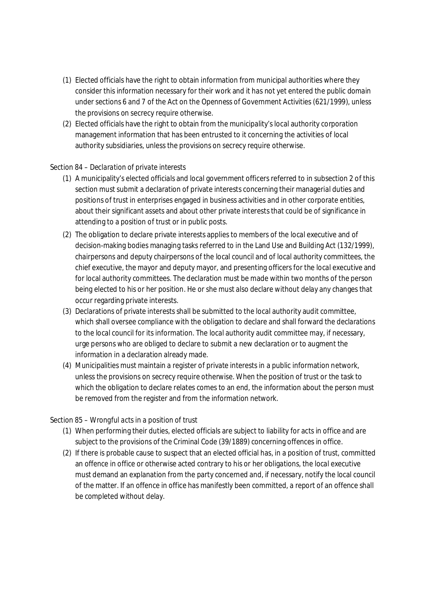- (1) Elected officials have the right to obtain information from municipal authorities where they consider this information necessary for their work and it has not yet entered the public domain under sections 6 and 7 of the Act on the Openness of Government Activities (621/1999), unless the provisions on secrecy require otherwise.
- (2) Elected officials have the right to obtain from the municipality's local authority corporation management information that has been entrusted to it concerning the activities of local authority subsidiaries, unless the provisions on secrecy require otherwise.

### Section 84 – *Declaration of private interests*

- (1) A municipality's elected officials and local government officers referred to in subsection 2 of this section must submit a declaration of private interests concerning their managerial duties and positions of trust in enterprises engaged in business activities and in other corporate entities, about their significant assets and about other private interests that could be of significance in attending to a position of trust or in public posts.
- (2) The obligation to declare private interests applies to members of the local executive and of decision-making bodies managing tasks referred to in the Land Use and Building Act (132/1999), chairpersons and deputy chairpersons of the local council and of local authority committees, the chief executive, the mayor and deputy mayor, and presenting officers for the local executive and for local authority committees. The declaration must be made within two months of the person being elected to his or her position. He or she must also declare without delay any changes that occur regarding private interests.
- (3) Declarations of private interests shall be submitted to the local authority audit committee, which shall oversee compliance with the obligation to declare and shall forward the declarations to the local council for its information. The local authority audit committee may, if necessary, urge persons who are obliged to declare to submit a new declaration or to augment the information in a declaration already made.
- (4) Municipalities must maintain a register of private interests in a public information network, unless the provisions on secrecy require otherwise. When the position of trust or the task to which the obligation to declare relates comes to an end, the information about the person must be removed from the register and from the information network.

### Section 85 – *Wrongful acts in a position of trust*

- (1) When performing their duties, elected officials are subject to liability for acts in office and are subject to the provisions of the Criminal Code (39/1889) concerning offences in office.
- (2) If there is probable cause to suspect that an elected official has, in a position of trust, committed an offence in office or otherwise acted contrary to his or her obligations, the local executive must demand an explanation from the party concerned and, if necessary, notify the local council of the matter. If an offence in office has manifestly been committed, a report of an offence shall be completed without delay.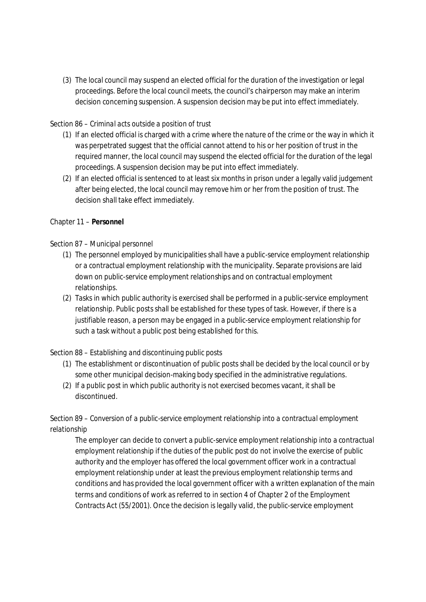(3) The local council may suspend an elected official for the duration of the investigation or legal proceedings. Before the local council meets, the council's chairperson may make an interim decision concerning suspension. A suspension decision may be put into effect immediately.

### Section 86 – *Criminal acts outside a position of trust*

- (1) If an elected official is charged with a crime where the nature of the crime or the way in which it was perpetrated suggest that the official cannot attend to his or her position of trust in the required manner, the local council may suspend the elected official for the duration of the legal proceedings. A suspension decision may be put into effect immediately.
- (2) If an elected official is sentenced to at least six months in prison under a legally valid judgement after being elected, the local council may remove him or her from the position of trust. The decision shall take effect immediately.

### Chapter 11 – **Personnel**

### Section 87 – *Municipal personnel*

- (1) The personnel employed by municipalities shall have a public-service employment relationship or a contractual employment relationship with the municipality. Separate provisions are laid down on public-service employment relationships and on contractual employment relationships.
- (2) Tasks in which public authority is exercised shall be performed in a public-service employment relationship. Public posts shall be established for these types of task. However, if there is a justifiable reason, a person may be engaged in a public-service employment relationship for such a task without a public post being established for this.

## Section 88 – *Establishing and discontinuing public posts*

- (1) The establishment or discontinuation of public posts shall be decided by the local council or by some other municipal decision-making body specified in the administrative regulations.
- (2) If a public post in which public authority is not exercised becomes vacant, it shall be discontinued.

# Section 89 – *Conversion of a public-service employment relationship into a contractual employment relationship*

The employer can decide to convert a public-service employment relationship into a contractual employment relationship if the duties of the public post do not involve the exercise of public authority and the employer has offered the local government officer work in a contractual employment relationship under at least the previous employment relationship terms and conditions and has provided the local government officer with a written explanation of the main terms and conditions of work as referred to in section 4 of Chapter 2 of the Employment Contracts Act (55/2001). Once the decision is legally valid, the public-service employment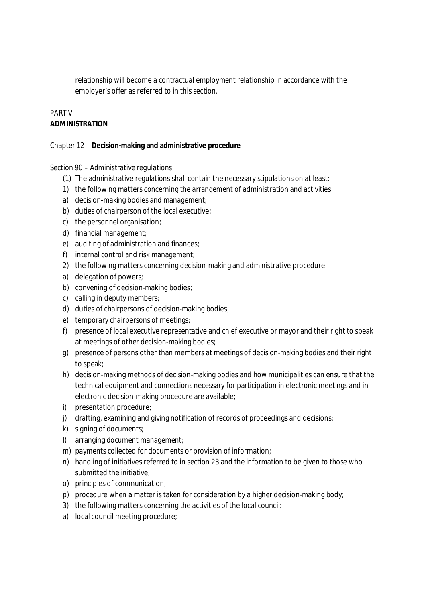relationship will become a contractual employment relationship in accordance with the employer's offer as referred to in this section.

## PART V **ADMINISTRATION**

Chapter 12 – **Decision-making and administrative procedure**

### Section 90 – *Administrative regulations*

- (1) The administrative regulations shall contain the necessary stipulations on at least:
- 1) the following matters concerning the arrangement of administration and activities:
- a) decision-making bodies and management;
- b) duties of chairperson of the local executive;
- c) the personnel organisation;
- d) financial management;
- e) auditing of administration and finances;
- f) internal control and risk management;
- 2) the following matters concerning decision-making and administrative procedure:
- a) delegation of powers;
- b) convening of decision-making bodies;
- c) calling in deputy members;
- d) duties of chairpersons of decision-making bodies;
- e) temporary chairpersons of meetings;
- f) presence of local executive representative and chief executive or mayor and their right to speak at meetings of other decision-making bodies;
- g) presence of persons other than members at meetings of decision-making bodies and their right to speak;
- h) decision-making methods of decision-making bodies and how municipalities can ensure that the technical equipment and connections necessary for participation in electronic meetings and in electronic decision-making procedure are available;
- i) presentation procedure;
- j) drafting, examining and giving notification of records of proceedings and decisions;
- k) signing of documents;
- l) arranging document management;
- m) payments collected for documents or provision of information;
- n) handling of initiatives referred to in section 23 and the information to be given to those who submitted the initiative;
- o) principles of communication;
- p) procedure when a matter is taken for consideration by a higher decision-making body;
- 3) the following matters concerning the activities of the local council:
- a) local council meeting procedure;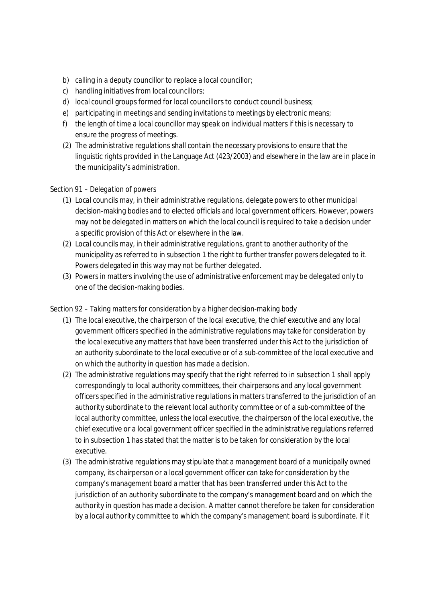- b) calling in a deputy councillor to replace a local councillor;
- c) handling initiatives from local councillors;
- d) local council groups formed for local councillors to conduct council business;
- e) participating in meetings and sending invitations to meetings by electronic means;
- f) the length of time a local councillor may speak on individual matters if this is necessary to ensure the progress of meetings.
- (2) The administrative regulations shall contain the necessary provisions to ensure that the linguistic rights provided in the Language Act (423/2003) and elsewhere in the law are in place in the municipality's administration.

### Section 91 – *Delegation of powers*

- (1) Local councils may, in their administrative regulations, delegate powers to other municipal decision-making bodies and to elected officials and local government officers. However, powers may not be delegated in matters on which the local council is required to take a decision under a specific provision of this Act or elsewhere in the law.
- (2) Local councils may, in their administrative regulations, grant to another authority of the municipality as referred to in subsection 1 the right to further transfer powers delegated to it. Powers delegated in this way may not be further delegated.
- (3) Powers in matters involving the use of administrative enforcement may be delegated only to one of the decision-making bodies.

## Section 92 – *Taking matters for consideration by a higher decision-making body*

- (1) The local executive, the chairperson of the local executive, the chief executive and any local government officers specified in the administrative regulations may take for consideration by the local executive any matters that have been transferred under this Act to the jurisdiction of an authority subordinate to the local executive or of a sub-committee of the local executive and on which the authority in question has made a decision.
- (2) The administrative regulations may specify that the right referred to in subsection 1 shall apply correspondingly to local authority committees, their chairpersons and any local government officers specified in the administrative regulations in matters transferred to the jurisdiction of an authority subordinate to the relevant local authority committee or of a sub-committee of the local authority committee, unless the local executive, the chairperson of the local executive, the chief executive or a local government officer specified in the administrative regulations referred to in subsection 1 has stated that the matter is to be taken for consideration by the local executive.
- (3) The administrative regulations may stipulate that a management board of a municipally owned company, its chairperson or a local government officer can take for consideration by the company's management board a matter that has been transferred under this Act to the jurisdiction of an authority subordinate to the company's management board and on which the authority in question has made a decision. A matter cannot therefore be taken for consideration by a local authority committee to which the company's management board is subordinate. If it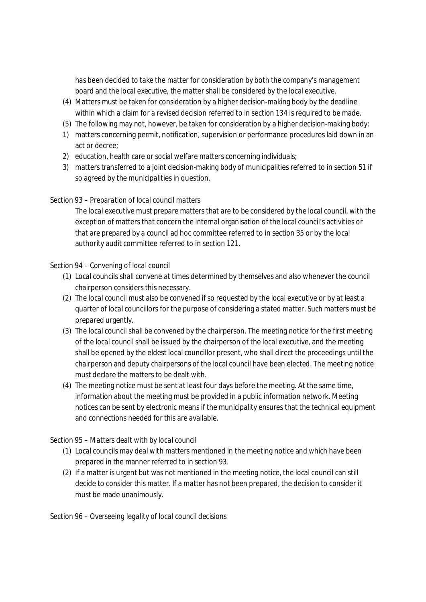has been decided to take the matter for consideration by both the company's management board and the local executive, the matter shall be considered by the local executive.

- (4) Matters must be taken for consideration by a higher decision-making body by the deadline within which a claim for a revised decision referred to in section 134 is required to be made.
- (5) The following may not, however, be taken for consideration by a higher decision-making body:
- 1) matters concerning permit, notification, supervision or performance procedures laid down in an act or decree;
- 2) education, health care or social welfare matters concerning individuals;
- 3) matters transferred to a joint decision-making body of municipalities referred to in section 51 if so agreed by the municipalities in question.

### Section 93 – *Preparation of local council matters*

The local executive must prepare matters that are to be considered by the local council, with the exception of matters that concern the internal organisation of the local council's activities or that are prepared by a council ad hoc committee referred to in section 35 or by the local authority audit committee referred to in section 121.

### Section 94 – *Convening of local council*

- (1) Local councils shall convene at times determined by themselves and also whenever the council chairperson considers this necessary.
- (2) The local council must also be convened if so requested by the local executive or by at least a quarter of local councillors for the purpose of considering a stated matter. Such matters must be prepared urgently.
- (3) The local council shall be convened by the chairperson. The meeting notice for the first meeting of the local council shall be issued by the chairperson of the local executive, and the meeting shall be opened by the eldest local councillor present, who shall direct the proceedings until the chairperson and deputy chairpersons of the local council have been elected. The meeting notice must declare the matters to be dealt with.
- (4) The meeting notice must be sent at least four days before the meeting. At the same time, information about the meeting must be provided in a public information network. Meeting notices can be sent by electronic means if the municipality ensures that the technical equipment and connections needed for this are available.

## Section 95 – *Matters dealt with by local council*

- (1) Local councils may deal with matters mentioned in the meeting notice and which have been prepared in the manner referred to in section 93.
- (2) If a matter is urgent but was not mentioned in the meeting notice, the local council can still decide to consider this matter. If a matter has not been prepared, the decision to consider it must be made unanimously.

### Section 96 – *Overseeing legality of local council decisions*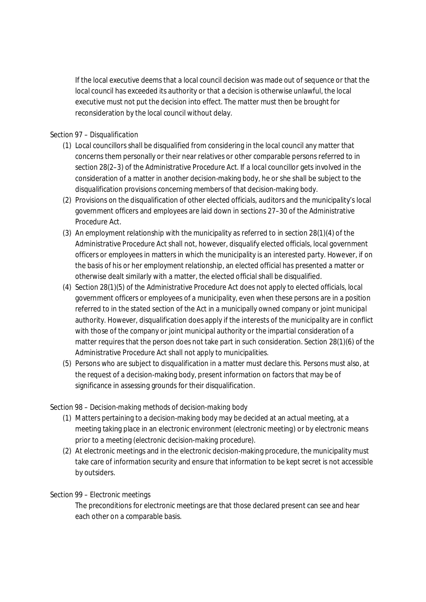If the local executive deems that a local council decision was made out of sequence or that the local council has exceeded its authority or that a decision is otherwise unlawful, the local executive must not put the decision into effect. The matter must then be brought for reconsideration by the local council without delay.

### Section 97 – *Disqualification*

- (1) Local councillors shall be disqualified from considering in the local council any matter that concerns them personally or their near relatives or other comparable persons referred to in section 28(2–3) of the Administrative Procedure Act. If a local councillor gets involved in the consideration of a matter in another decision-making body, he or she shall be subject to the disqualification provisions concerning members of that decision-making body.
- (2) Provisions on the disqualification of other elected officials, auditors and the municipality's local government officers and employees are laid down in sections 27–30 of the Administrative Procedure Act.
- (3) An employment relationship with the municipality as referred to in section 28(1)(4) of the Administrative Procedure Act shall not, however, disqualify elected officials, local government officers or employees in matters in which the municipality is an interested party. However, if on the basis of his or her employment relationship, an elected official has presented a matter or otherwise dealt similarly with a matter, the elected official shall be disqualified.
- (4) Section 28(1)(5) of the Administrative Procedure Act does not apply to elected officials, local government officers or employees of a municipality, even when these persons are in a position referred to in the stated section of the Act in a municipally owned company or joint municipal authority. However, disqualification does apply if the interests of the municipality are in conflict with those of the company or joint municipal authority or the impartial consideration of a matter requires that the person does not take part in such consideration. Section 28(1)(6) of the Administrative Procedure Act shall not apply to municipalities.
- (5) Persons who are subject to disqualification in a matter must declare this. Persons must also, at the request of a decision-making body, present information on factors that may be of significance in assessing grounds for their disqualification.

### Section 98 – *Decision-making methods of decision-making body*

- (1) Matters pertaining to a decision-making body may be decided at an actual meeting, at a meeting taking place in an electronic environment (*electronic meeting*) or by electronic means prior to a meeting (*electronic decision-making procedure*).
- (2) At electronic meetings and in the electronic decision-making procedure, the municipality must take care of information security and ensure that information to be kept secret is not accessible by outsiders.

### Section 99 – *Electronic meetings*

The preconditions for electronic meetings are that those declared present can see and hear each other on a comparable basis.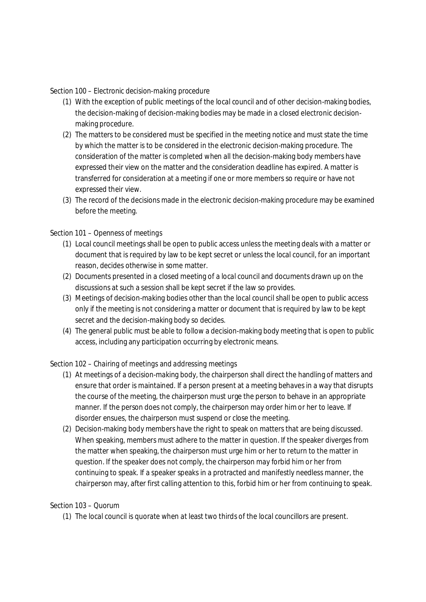#### Section 100 – *Electronic decision-making procedure*

- (1) With the exception of public meetings of the local council and of other decision-making bodies, the decision-making of decision-making bodies may be made in a closed electronic decisionmaking procedure.
- (2) The matters to be considered must be specified in the meeting notice and must state the time by which the matter is to be considered in the electronic decision-making procedure. The consideration of the matter is completed when all the decision-making body members have expressed their view on the matter and the consideration deadline has expired. A matter is transferred for consideration at a meeting if one or more members so require or have not expressed their view.
- (3) The record of the decisions made in the electronic decision-making procedure may be examined before the meeting.

### Section 101 – *Openness of meetings*

- (1) Local council meetings shall be open to public access unless the meeting deals with a matter or document that is required by law to be kept secret or unless the local council, for an important reason, decides otherwise in some matter.
- (2) Documents presented in a closed meeting of a local council and documents drawn up on the discussions at such a session shall be kept secret if the law so provides.
- (3) Meetings of decision-making bodies other than the local council shall be open to public access only if the meeting is not considering a matter or document that is required by law to be kept secret and the decision-making body so decides.
- (4) The general public must be able to follow a decision-making body meeting that is open to public access, including any participation occurring by electronic means.

### Section 102 – *Chairing of meetings and addressing meetings*

- (1) At meetings of a decision-making body, the chairperson shall direct the handling of matters and ensure that order is maintained. If a person present at a meeting behaves in a way that disrupts the course of the meeting, the chairperson must urge the person to behave in an appropriate manner. If the person does not comply, the chairperson may order him or her to leave. If disorder ensues, the chairperson must suspend or close the meeting.
- (2) Decision-making body members have the right to speak on matters that are being discussed. When speaking, members must adhere to the matter in question. If the speaker diverges from the matter when speaking, the chairperson must urge him or her to return to the matter in question. If the speaker does not comply, the chairperson may forbid him or her from continuing to speak. If a speaker speaks in a protracted and manifestly needless manner, the chairperson may, after first calling attention to this, forbid him or her from continuing to speak.

### Section 103 – *Quorum*

(1) The local council is quorate when at least two thirds of the local councillors are present.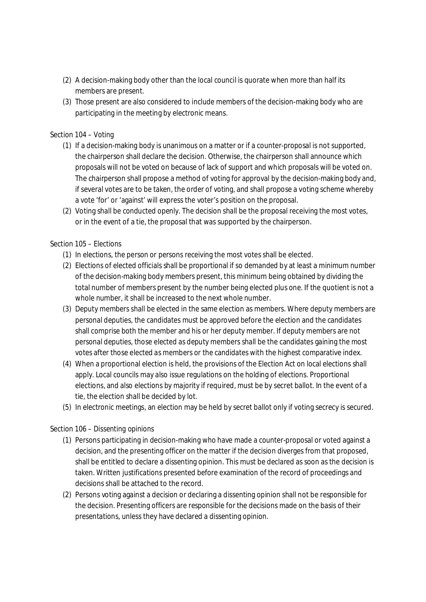- (2) A decision-making body other than the local council is quorate when more than half its members are present.
- (3) Those present are also considered to include members of the decision-making body who are participating in the meeting by electronic means.

### Section 104 – *Voting*

- (1) If a decision-making body is unanimous on a matter or if a counter-proposal is not supported, the chairperson shall declare the decision. Otherwise, the chairperson shall announce which proposals will not be voted on because of lack of support and which proposals will be voted on. The chairperson shall propose a method of voting for approval by the decision-making body and, if several votes are to be taken, the order of voting, and shall propose a voting scheme whereby a vote 'for' or 'against' will express the voter's position on the proposal.
- (2) Voting shall be conducted openly. The decision shall be the proposal receiving the most votes, or in the event of a tie, the proposal that was supported by the chairperson.

### Section 105 – *Elections*

- (1) In elections, the person or persons receiving the most votes shall be elected.
- (2) Elections of elected officials shall be proportional if so demanded by at least a minimum number of the decision-making body members present, this minimum being obtained by dividing the total number of members present by the number being elected plus one. If the quotient is not a whole number, it shall be increased to the next whole number.
- (3) Deputy members shall be elected in the same election as members. Where deputy members are personal deputies, the candidates must be approved before the election and the candidates shall comprise both the member and his or her deputy member. If deputy members are not personal deputies, those elected as deputy members shall be the candidates gaining the most votes after those elected as members or the candidates with the highest comparative index.
- (4) When a proportional election is held, the provisions of the Election Act on local elections shall apply. Local councils may also issue regulations on the holding of elections. Proportional elections, and also elections by majority if required, must be by secret ballot. In the event of a tie, the election shall be decided by lot.
- (5) In electronic meetings, an election may be held by secret ballot only if voting secrecy is secured.

### Section 106 – *Dissenting opinions*

- (1) Persons participating in decision-making who have made a counter-proposal or voted against a decision, and the presenting officer on the matter if the decision diverges from that proposed, shall be entitled to declare a dissenting opinion. This must be declared as soon as the decision is taken. Written justifications presented before examination of the record of proceedings and decisions shall be attached to the record.
- (2) Persons voting against a decision or declaring a dissenting opinion shall not be responsible for the decision. Presenting officers are responsible for the decisions made on the basis of their presentations, unless they have declared a dissenting opinion.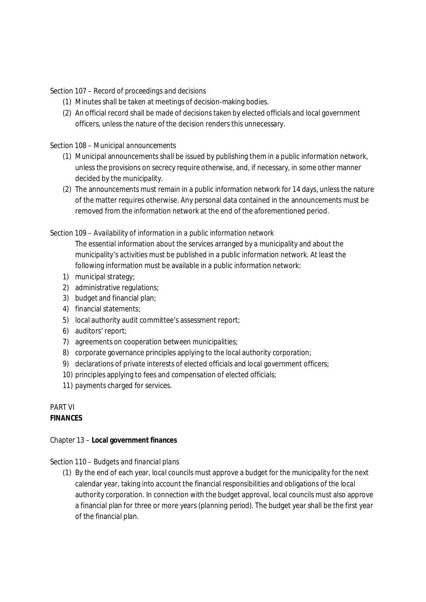Section 107 – *Record of proceedings and decisions*

- (1) Minutes shall be taken at meetings of decision-making bodies.
- (2) An official record shall be made of decisions taken by elected officials and local government officers, unless the nature of the decision renders this unnecessary.

### Section 108 – *Municipal announcements*

- (1) Municipal announcements shall be issued by publishing them in a public information network, unless the provisions on secrecy require otherwise, and, if necessary, in some other manner decided by the municipality.
- (2) The announcements must remain in a public information network for 14 days, unless the nature of the matter requires otherwise. Any personal data contained in the announcements must be removed from the information network at the end of the aforementioned period.

### Section 109 – *Availability of information in a public information network*

The essential information about the services arranged by a municipality and about the municipality's activities must be published in a public information network. At least the following information must be available in a public information network:

- 1) municipal strategy;
- 2) administrative regulations;
- 3) budget and financial plan;
- 4) financial statements;
- 5) local authority audit committee's assessment report;
- 6) auditors' report;
- 7) agreements on cooperation between municipalities;
- 8) corporate governance principles applying to the local authority corporation;
- 9) declarations of private interests of elected officials and local government officers;
- 10) principles applying to fees and compensation of elected officials;
- 11) payments charged for services.

## PART VI **FINANCES**

Chapter 13 – **Local government finances**

### Section 110 – *Budgets and financial plans*

(1) By the end of each year, local councils must approve a budget for the municipality for the next calendar year, taking into account the financial responsibilities and obligations of the local authority corporation. In connection with the budget approval, local councils must also approve a financial plan for three or more years (*planning period*). The budget year shall be the first year of the financial plan.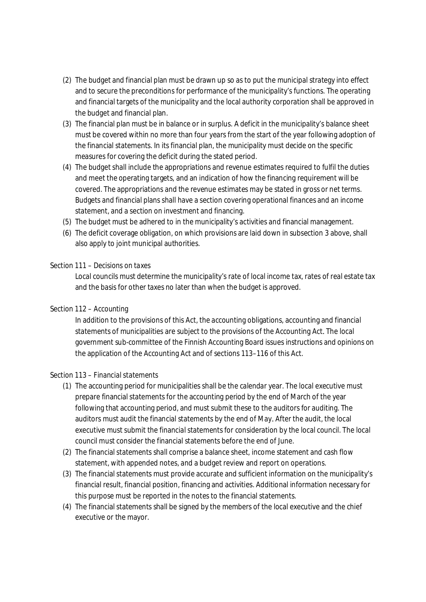- (2) The budget and financial plan must be drawn up so as to put the municipal strategy into effect and to secure the preconditions for performance of the municipality's functions. The operating and financial targets of the municipality and the local authority corporation shall be approved in the budget and financial plan.
- (3) The financial plan must be in balance or in surplus. A deficit in the municipality's balance sheet must be covered within no more than four years from the start of the year following adoption of the financial statements. In its financial plan, the municipality must decide on the specific measures for covering the deficit during the stated period.
- (4) The budget shall include the appropriations and revenue estimates required to fulfil the duties and meet the operating targets, and an indication of how the financing requirement will be covered. The appropriations and the revenue estimates may be stated in gross or net terms. Budgets and financial plans shall have a section covering operational finances and an income statement, and a section on investment and financing.
- (5) The budget must be adhered to in the municipality's activities and financial management.
- (6) The deficit coverage obligation, on which provisions are laid down in subsection 3 above, shall also apply to joint municipal authorities.

### Section 111 – *Decisions on taxes*

Local councils must determine the municipality's rate of local income tax, rates of real estate tax and the basis for other taxes no later than when the budget is approved.

## Section 112 – *Accounting*

In addition to the provisions of this Act, the accounting obligations, accounting and financial statements of municipalities are subject to the provisions of the Accounting Act. The local government sub-committee of the Finnish Accounting Board issues instructions and opinions on the application of the Accounting Act and of sections 113–116 of this Act.

### Section 113 – *Financial statements*

- (1) The accounting period for municipalities shall be the calendar year. The local executive must prepare financial statements for the accounting period by the end of March of the year following that accounting period, and must submit these to the auditors for auditing. The auditors must audit the financial statements by the end of May. After the audit, the local executive must submit the financial statements for consideration by the local council. The local council must consider the financial statements before the end of June.
- (2) The financial statements shall comprise a balance sheet, income statement and cash flow statement, with appended notes, and a budget review and report on operations.
- (3) The financial statements must provide accurate and sufficient information on the municipality's financial result, financial position, financing and activities. Additional information necessary for this purpose must be reported in the notes to the financial statements.
- (4) The financial statements shall be signed by the members of the local executive and the chief executive or the mayor.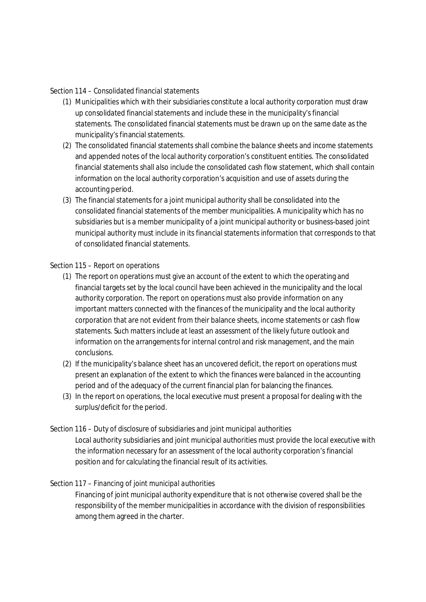### Section 114 – *Consolidated financial statements*

- (1) Municipalities which with their subsidiaries constitute a local authority corporation must draw up consolidated financial statements and include these in the municipality's financial statements. The consolidated financial statements must be drawn up on the same date as the municipality's financial statements.
- (2) The consolidated financial statements shall combine the balance sheets and income statements and appended notes of the local authority corporation's constituent entities. The consolidated financial statements shall also include the consolidated cash flow statement, which shall contain information on the local authority corporation's acquisition and use of assets during the accounting period.
- (3) The financial statements for a joint municipal authority shall be consolidated into the consolidated financial statements of the member municipalities. A municipality which has no subsidiaries but is a member municipality of a joint municipal authority or business-based joint municipal authority must include in its financial statements information that corresponds to that of consolidated financial statements.

### Section 115 – *Report on operations*

- (1) The report on operations must give an account of the extent to which the operating and financial targets set by the local council have been achieved in the municipality and the local authority corporation. The report on operations must also provide information on any important matters connected with the finances of the municipality and the local authority corporation that are not evident from their balance sheets, income statements or cash flow statements. Such matters include at least an assessment of the likely future outlook and information on the arrangements for internal control and risk management, and the main conclusions.
- (2) If the municipality's balance sheet has an uncovered deficit, the report on operations must present an explanation of the extent to which the finances were balanced in the accounting period and of the adequacy of the current financial plan for balancing the finances.
- (3) In the report on operations, the local executive must present a proposal for dealing with the surplus/deficit for the period.

### Section 116 – *Duty of disclosure of subsidiaries and joint municipal authorities*

Local authority subsidiaries and joint municipal authorities must provide the local executive with the information necessary for an assessment of the local authority corporation's financial position and for calculating the financial result of its activities.

## Section 117 – *Financing of joint municipal authorities*

Financing of joint municipal authority expenditure that is not otherwise covered shall be the responsibility of the member municipalities in accordance with the division of responsibilities among them agreed in the charter.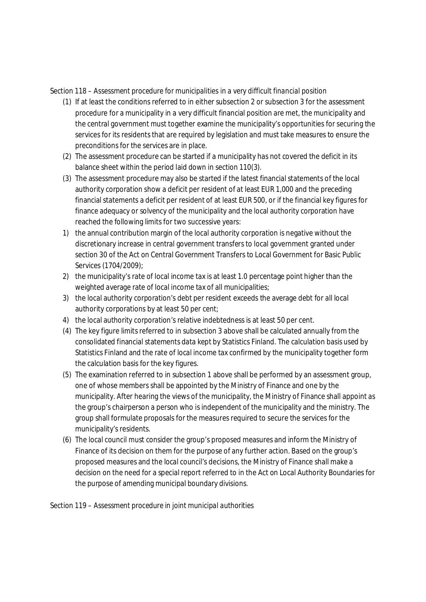### Section 118 – *Assessment procedure for municipalities in a very difficult financial position*

- (1) If at least the conditions referred to in either subsection 2 or subsection 3 for the assessment procedure for a municipality in a very difficult financial position are met, the municipality and the central government must together examine the municipality's opportunities for securing the services for its residents that are required by legislation and must take measures to ensure the preconditions for the services are in place.
- (2) The assessment procedure can be started if a municipality has not covered the deficit in its balance sheet within the period laid down in section 110(3).
- (3) The assessment procedure may also be started if the latest financial statements of the local authority corporation show a deficit per resident of at least EUR 1,000 and the preceding financial statements a deficit per resident of at least EUR 500, or if the financial key figures for finance adequacy or solvency of the municipality and the local authority corporation have reached the following limits for two successive years:
- 1) the annual contribution margin of the local authority corporation is negative without the discretionary increase in central government transfers to local government granted under section 30 of the Act on Central Government Transfers to Local Government for Basic Public Services (1704/2009);
- 2) the municipality's rate of local income tax is at least 1.0 percentage point higher than the weighted average rate of local income tax of all municipalities;
- 3) the local authority corporation's debt per resident exceeds the average debt for all local authority corporations by at least 50 per cent;
- 4) the local authority corporation's relative indebtedness is at least 50 per cent.
- (4) The key figure limits referred to in subsection 3 above shall be calculated annually from the consolidated financial statements data kept by Statistics Finland. The calculation basis used by Statistics Finland and the rate of local income tax confirmed by the municipality together form the calculation basis for the key figures.
- (5) The examination referred to in subsection 1 above shall be performed by an assessment group, one of whose members shall be appointed by the Ministry of Finance and one by the municipality. After hearing the views of the municipality, the Ministry of Finance shall appoint as the group's chairperson a person who is independent of the municipality and the ministry. The group shall formulate proposals for the measures required to secure the services for the municipality's residents.
- (6) The local council must consider the group's proposed measures and inform the Ministry of Finance of its decision on them for the purpose of any further action. Based on the group's proposed measures and the local council's decisions, the Ministry of Finance shall make a decision on the need for a special report referred to in the Act on Local Authority Boundaries for the purpose of amending municipal boundary divisions.

Section 119 – *Assessment procedure in joint municipal authorities*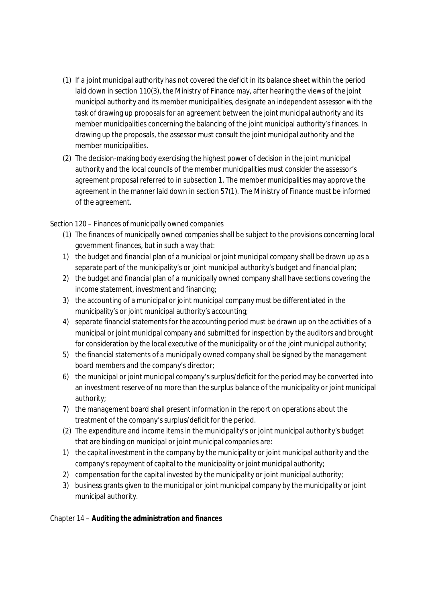- (1) If a joint municipal authority has not covered the deficit in its balance sheet within the period laid down in section 110(3), the Ministry of Finance may, after hearing the views of the joint municipal authority and its member municipalities, designate an independent assessor with the task of drawing up proposals for an agreement between the joint municipal authority and its member municipalities concerning the balancing of the joint municipal authority's finances. In drawing up the proposals, the assessor must consult the joint municipal authority and the member municipalities.
- (2) The decision-making body exercising the highest power of decision in the joint municipal authority and the local councils of the member municipalities must consider the assessor's agreement proposal referred to in subsection 1. The member municipalities may approve the agreement in the manner laid down in section 57(1). The Ministry of Finance must be informed of the agreement.

### Section 120 – *Finances of municipally owned companies*

- (1) The finances of municipally owned companies shall be subject to the provisions concerning local government finances, but in such a way that:
- 1) the budget and financial plan of a municipal or joint municipal company shall be drawn up as a separate part of the municipality's or joint municipal authority's budget and financial plan;
- 2) the budget and financial plan of a municipally owned company shall have sections covering the income statement, investment and financing;
- 3) the accounting of a municipal or joint municipal company must be differentiated in the municipality's or joint municipal authority's accounting;
- 4) separate financial statements for the accounting period must be drawn up on the activities of a municipal or joint municipal company and submitted for inspection by the auditors and brought for consideration by the local executive of the municipality or of the joint municipal authority;
- 5) the financial statements of a municipally owned company shall be signed by the management board members and the company's director;
- 6) the municipal or joint municipal company's surplus/deficit for the period may be converted into an investment reserve of no more than the surplus balance of the municipality or joint municipal authority;
- 7) the management board shall present information in the report on operations about the treatment of the company's surplus/deficit for the period.
- (2) The expenditure and income items in the municipality's or joint municipal authority's budget that are binding on municipal or joint municipal companies are:
- 1) the capital investment in the company by the municipality or joint municipal authority and the company's repayment of capital to the municipality or joint municipal authority;
- 2) compensation for the capital invested by the municipality or joint municipal authority;
- 3) business grants given to the municipal or joint municipal company by the municipality or joint municipal authority.

Chapter 14 – **Auditing the administration and finances**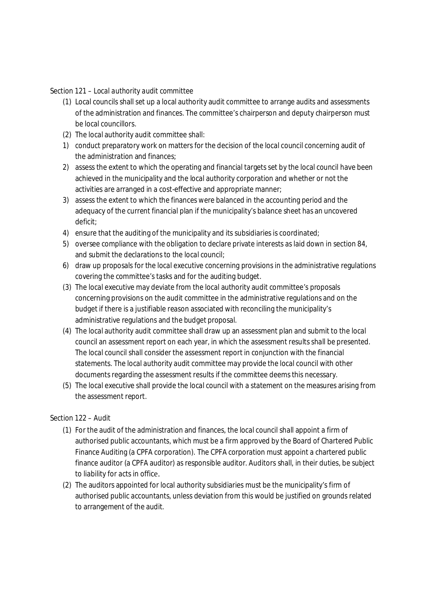Section 121 – *Local authority audit committee*

- (1) Local councils shall set up a local authority audit committee to arrange audits and assessments of the administration and finances. The committee's chairperson and deputy chairperson must be local councillors.
- (2) The local authority audit committee shall:
- 1) conduct preparatory work on matters for the decision of the local council concerning audit of the administration and finances;
- 2) assess the extent to which the operating and financial targets set by the local council have been achieved in the municipality and the local authority corporation and whether or not the activities are arranged in a cost-effective and appropriate manner;
- 3) assess the extent to which the finances were balanced in the accounting period and the adequacy of the current financial plan if the municipality's balance sheet has an uncovered deficit;
- 4) ensure that the auditing of the municipality and its subsidiaries is coordinated;
- 5) oversee compliance with the obligation to declare private interests as laid down in section 84, and submit the declarations to the local council;
- 6) draw up proposals for the local executive concerning provisions in the administrative regulations covering the committee's tasks and for the auditing budget.
- (3) The local executive may deviate from the local authority audit committee's proposals concerning provisions on the audit committee in the administrative regulations and on the budget if there is a justifiable reason associated with reconciling the municipality's administrative regulations and the budget proposal.
- (4) The local authority audit committee shall draw up an assessment plan and submit to the local council an assessment report on each year, in which the assessment results shall be presented. The local council shall consider the assessment report in conjunction with the financial statements. The local authority audit committee may provide the local council with other documents regarding the assessment results if the committee deems this necessary.
- (5) The local executive shall provide the local council with a statement on the measures arising from the assessment report.

### Section 122 – *Audit*

- (1) For the audit of the administration and finances, the local council shall appoint a firm of authorised public accountants, which must be a firm approved by the Board of Chartered Public Finance Auditing (a CPFA corporation). The CPFA corporation must appoint a chartered public finance auditor (a CPFA auditor) as responsible auditor. Auditors shall, in their duties, be subject to liability for acts in office.
- (2) The auditors appointed for local authority subsidiaries must be the municipality's firm of authorised public accountants, unless deviation from this would be justified on grounds related to arrangement of the audit.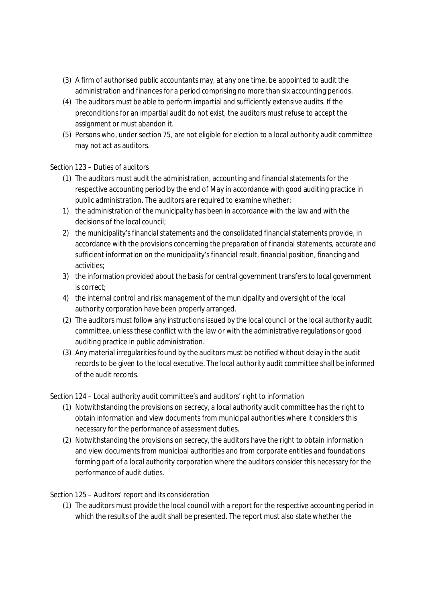- (3) A firm of authorised public accountants may, at any one time, be appointed to audit the administration and finances for a period comprising no more than six accounting periods.
- (4) The auditors must be able to perform impartial and sufficiently extensive audits. If the preconditions for an impartial audit do not exist, the auditors must refuse to accept the assignment or must abandon it.
- (5) Persons who, under section 75, are not eligible for election to a local authority audit committee may not act as auditors.

## Section 123 – *Duties of auditors*

- (1) The auditors must audit the administration, accounting and financial statements for the respective accounting period by the end of May in accordance with good auditing practice in public administration. The auditors are required to examine whether:
- 1) the administration of the municipality has been in accordance with the law and with the decisions of the local council;
- 2) the municipality's financial statements and the consolidated financial statements provide, in accordance with the provisions concerning the preparation of financial statements, accurate and sufficient information on the municipality's financial result, financial position, financing and activities;
- 3) the information provided about the basis for central government transfers to local government is correct;
- 4) the internal control and risk management of the municipality and oversight of the local authority corporation have been properly arranged.
- (2) The auditors must follow any instructions issued by the local council or the local authority audit committee, unless these conflict with the law or with the administrative regulations or good auditing practice in public administration.
- (3) Any material irregularities found by the auditors must be notified without delay in the audit records to be given to the local executive. The local authority audit committee shall be informed of the audit records.

Section 124 – *Local authority audit committee's and auditors' right to information*

- (1) Notwithstanding the provisions on secrecy, a local authority audit committee has the right to obtain information and view documents from municipal authorities where it considers this necessary for the performance of assessment duties.
- (2) Notwithstanding the provisions on secrecy, the auditors have the right to obtain information and view documents from municipal authorities and from corporate entities and foundations forming part of a local authority corporation where the auditors consider this necessary for the performance of audit duties.

## Section 125 – *Auditors' report and its consideration*

(1) The auditors must provide the local council with a report for the respective accounting period in which the results of the audit shall be presented. The report must also state whether the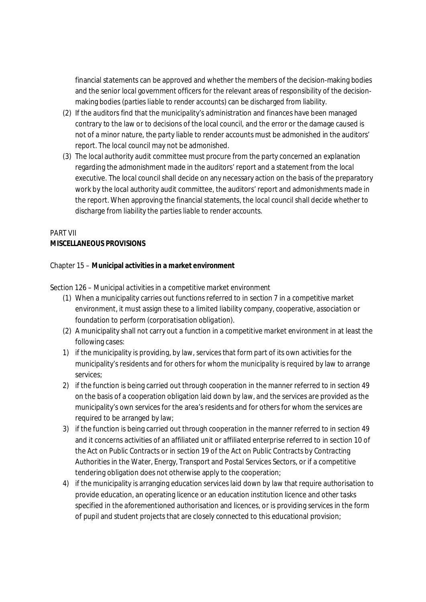financial statements can be approved and whether the members of the decision-making bodies and the senior local government officers for the relevant areas of responsibility of the decisionmaking bodies (*parties liable to render accounts*) can be discharged from liability.

- (2) If the auditors find that the municipality's administration and finances have been managed contrary to the law or to decisions of the local council, and the error or the damage caused is not of a minor nature, the party liable to render accounts must be admonished in the auditors' report. The local council may not be admonished.
- (3) The local authority audit committee must procure from the party concerned an explanation regarding the admonishment made in the auditors' report and a statement from the local executive. The local council shall decide on any necessary action on the basis of the preparatory work by the local authority audit committee, the auditors' report and admonishments made in the report. When approving the financial statements, the local council shall decide whether to discharge from liability the parties liable to render accounts.

# PART VII **MISCELLANEOUS PROVISIONS**

Chapter 15 – **Municipal activities in a market environment**

Section 126 – *Municipal activities in a competitive market environment*

- (1) When a municipality carries out functions referred to in section 7 in a competitive market environment, it must assign these to a limited liability company, cooperative, association or foundation to perform (*corporatisation obligation*).
- (2) A municipality shall not carry out a function in a competitive market environment in at least the following cases:
- 1) if the municipality is providing, by law, services that form part of its own activities for the municipality's residents and for others for whom the municipality is required by law to arrange services;
- 2) if the function is being carried out through cooperation in the manner referred to in section 49 on the basis of a cooperation obligation laid down by law, and the services are provided as the municipality's own services for the area's residents and for others for whom the services are required to be arranged by law;
- 3) if the function is being carried out through cooperation in the manner referred to in section 49 and it concerns activities of an affiliated unit or affiliated enterprise referred to in section 10 of the Act on Public Contracts or in section 19 of the Act on Public Contracts by Contracting Authorities in the Water, Energy, Transport and Postal Services Sectors, or if a competitive tendering obligation does not otherwise apply to the cooperation;
- 4) if the municipality is arranging education services laid down by law that require authorisation to provide education, an operating licence or an education institution licence and other tasks specified in the aforementioned authorisation and licences, or is providing services in the form of pupil and student projects that are closely connected to this educational provision;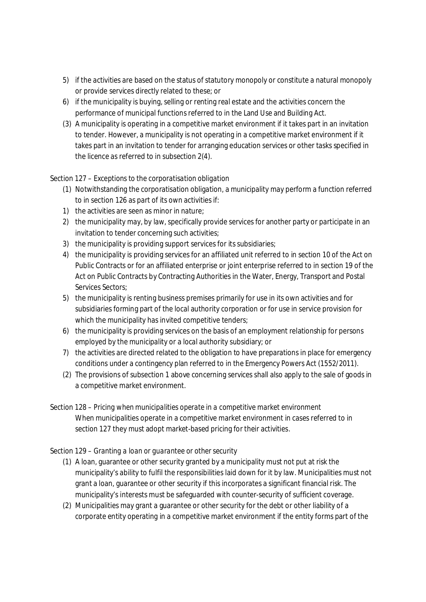- 5) if the activities are based on the status of statutory monopoly or constitute a natural monopoly or provide services directly related to these; or
- 6) if the municipality is buying, selling or renting real estate and the activities concern the performance of municipal functions referred to in the Land Use and Building Act.
- (3) A municipality is operating in a competitive market environment if it takes part in an invitation to tender. However, a municipality is not operating in a competitive market environment if it takes part in an invitation to tender for arranging education services or other tasks specified in the licence as referred to in subsection 2(4).

## Section 127 – *Exceptions to the corporatisation obligation*

- (1) Notwithstanding the corporatisation obligation, a municipality may perform a function referred to in section 126 as part of its own activities if:
- 1) the activities are seen as minor in nature;
- 2) the municipality may, by law, specifically provide services for another party or participate in an invitation to tender concerning such activities;
- 3) the municipality is providing support services for its subsidiaries;
- 4) the municipality is providing services for an affiliated unit referred to in section 10 of the Act on Public Contracts or for an affiliated enterprise or joint enterprise referred to in section 19 of the Act on Public Contracts by Contracting Authorities in the Water, Energy, Transport and Postal Services Sectors;
- 5) the municipality is renting business premises primarily for use in its own activities and for subsidiaries forming part of the local authority corporation or for use in service provision for which the municipality has invited competitive tenders;
- 6) the municipality is providing services on the basis of an employment relationship for persons employed by the municipality or a local authority subsidiary; or
- 7) the activities are directed related to the obligation to have preparations in place for emergency conditions under a contingency plan referred to in the Emergency Powers Act (1552/2011).
- (2) The provisions of subsection 1 above concerning services shall also apply to the sale of goods in a competitive market environment.
- Section 128 *Pricing when municipalities operate in a competitive market environment* When municipalities operate in a competitive market environment in cases referred to in section 127 they must adopt market-based pricing for their activities.

### Section 129 – *Granting a loan or guarantee or other security*

- (1) A loan, guarantee or other security granted by a municipality must not put at risk the municipality's ability to fulfil the responsibilities laid down for it by law. Municipalities must not grant a loan, guarantee or other security if this incorporates a significant financial risk. The municipality's interests must be safeguarded with counter-security of sufficient coverage.
- (2) Municipalities may grant a guarantee or other security for the debt or other liability of a corporate entity operating in a competitive market environment if the entity forms part of the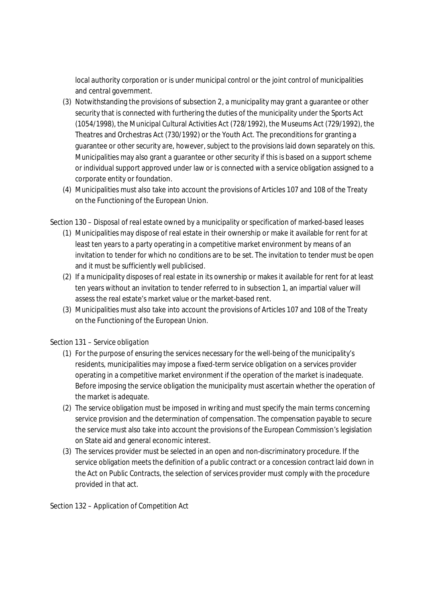local authority corporation or is under municipal control or the joint control of municipalities and central government.

- (3) Notwithstanding the provisions of subsection 2, a municipality may grant a guarantee or other security that is connected with furthering the duties of the municipality under the Sports Act (1054/1998), the Municipal Cultural Activities Act (728/1992), the Museums Act (729/1992), the Theatres and Orchestras Act (730/1992) or the Youth Act. The preconditions for granting a guarantee or other security are, however, subject to the provisions laid down separately on this. Municipalities may also grant a guarantee or other security if this is based on a support scheme or individual support approved under law or is connected with a service obligation assigned to a corporate entity or foundation.
- (4) Municipalities must also take into account the provisions of Articles 107 and 108 of the Treaty on the Functioning of the European Union.

Section 130 – *Disposal of real estate owned by a municipality or specification of marked-based leases*

- (1) Municipalities may dispose of real estate in their ownership or make it available for rent for at least ten years to a party operating in a competitive market environment by means of an invitation to tender for which no conditions are to be set. The invitation to tender must be open and it must be sufficiently well publicised.
- (2) If a municipality disposes of real estate in its ownership or makes it available for rent for at least ten years without an invitation to tender referred to in subsection 1, an impartial valuer will assess the real estate's market value or the market-based rent.
- (3) Municipalities must also take into account the provisions of Articles 107 and 108 of the Treaty on the Functioning of the European Union.

Section 131 – *Service obligation*

- (1) For the purpose of ensuring the services necessary for the well-being of the municipality's residents, municipalities may impose a fixed-term service obligation on a services provider operating in a competitive market environment if the operation of the market is inadequate. Before imposing the service obligation the municipality must ascertain whether the operation of the market is adequate.
- (2) The service obligation must be imposed in writing and must specify the main terms concerning service provision and the determination of compensation. The compensation payable to secure the service must also take into account the provisions of the European Commission's legislation on State aid and general economic interest.
- (3) The services provider must be selected in an open and non-discriminatory procedure. If the service obligation meets the definition of a public contract or a concession contract laid down in the Act on Public Contracts, the selection of services provider must comply with the procedure provided in that act.

Section 132 – *Application of Competition Act*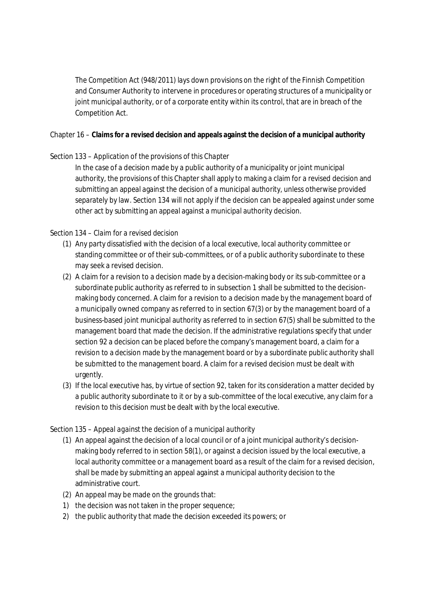The Competition Act (948/2011) lays down provisions on the right of the Finnish Competition and Consumer Authority to intervene in procedures or operating structures of a municipality or joint municipal authority, or of a corporate entity within its control, that are in breach of the Competition Act.

Chapter 16 – **Claims for a revised decision and appeals against the decision of a municipal authority**

### Section 133 – *Application of the provisions of this Chapter*

In the case of a decision made by a public authority of a municipality or joint municipal authority, the provisions of this Chapter shall apply to making a claim for a revised decision and submitting an appeal against the decision of a municipal authority, unless otherwise provided separately by law. Section 134 will not apply if the decision can be appealed against under some other act by submitting an appeal against a municipal authority decision.

### Section 134 – *Claim for a revised decision*

- (1) Any party dissatisfied with the decision of a local executive, local authority committee or standing committee or of their sub-committees, or of a public authority subordinate to these may seek a revised decision.
- (2) A claim for a revision to a decision made by a decision-making body or its sub-committee or a subordinate public authority as referred to in subsection 1 shall be submitted to the decisionmaking body concerned. A claim for a revision to a decision made by the management board of a municipally owned company as referred to in section 67(3) or by the management board of a business-based joint municipal authority as referred to in section 67(5) shall be submitted to the management board that made the decision. If the administrative regulations specify that under section 92 a decision can be placed before the company's management board, a claim for a revision to a decision made by the management board or by a subordinate public authority shall be submitted to the management board. A claim for a revised decision must be dealt with urgently.
- (3) If the local executive has, by virtue of section 92, taken for its consideration a matter decided by a public authority subordinate to it or by a sub-committee of the local executive, any claim for a revision to this decision must be dealt with by the local executive.

### Section 135 – *Appeal against the decision of a municipal authority*

- (1) An appeal against the decision of a local council or of a joint municipal authority's decisionmaking body referred to in section 58(1), or against a decision issued by the local executive, a local authority committee or a management board as a result of the claim for a revised decision, shall be made by submitting an appeal against a municipal authority decision to the administrative court.
- (2) An appeal may be made on the grounds that:
- 1) the decision was not taken in the proper sequence;
- 2) the public authority that made the decision exceeded its powers; or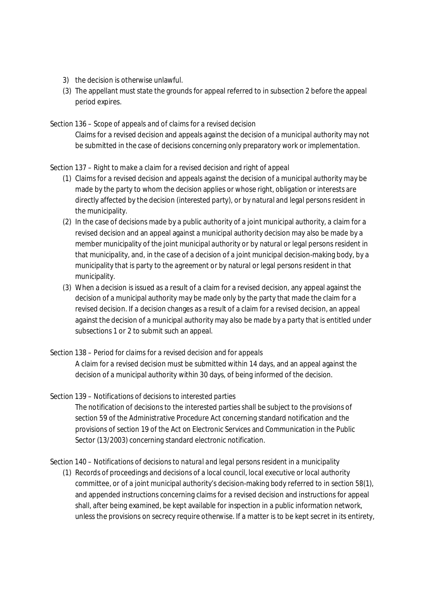- 3) the decision is otherwise unlawful.
- (3) The appellant must state the grounds for appeal referred to in subsection 2 before the appeal period expires.

Section 136 – *Scope of appeals and of claims for a revised decision*

Claims for a revised decision and appeals against the decision of a municipal authority may not be submitted in the case of decisions concerning only preparatory work or implementation.

### Section 137 – *Right to make a claim for a revised decision and right of appeal*

- (1) Claims for a revised decision and appeals against the decision of a municipal authority may be made by the party to whom the decision applies or whose right, obligation or interests are directly affected by the decision (*interested party*), or by natural and legal persons resident in the municipality.
- (2) In the case of decisions made by a public authority of a joint municipal authority, a claim for a revised decision and an appeal against a municipal authority decision may also be made by a member municipality of the joint municipal authority or by natural or legal persons resident in that municipality, and, in the case of a decision of a joint municipal decision-making body, by a municipality that is party to the agreement or by natural or legal persons resident in that municipality.
- (3) When a decision is issued as a result of a claim for a revised decision, any appeal against the decision of a municipal authority may be made only by the party that made the claim for a revised decision. If a decision changes as a result of a claim for a revised decision, an appeal against the decision of a municipal authority may also be made by a party that is entitled under subsections 1 or 2 to submit such an appeal.
- Section 138 *Period for claims for a revised decision and for appeals*

A claim for a revised decision must be submitted within 14 days, and an appeal against the decision of a municipal authority within 30 days, of being informed of the decision.

Section 139 – *Notifications of decisions to interested parties*

The notification of decisions to the interested parties shall be subject to the provisions of section 59 of the Administrative Procedure Act concerning standard notification and the provisions of section 19 of the Act on Electronic Services and Communication in the Public Sector (13/2003) concerning standard electronic notification.

Section 140 – *Notifications of decisions to natural and legal persons resident in a municipality*

(1) Records of proceedings and decisions of a local council, local executive or local authority committee, or of a joint municipal authority's decision-making body referred to in section 58(1), and appended instructions concerning claims for a revised decision and instructions for appeal shall, after being examined, be kept available for inspection in a public information network, unless the provisions on secrecy require otherwise. If a matter is to be kept secret in its entirety,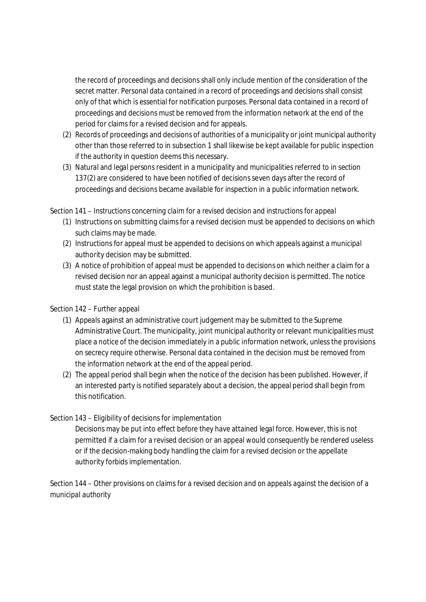the record of proceedings and decisions shall only include mention of the consideration of the secret matter. Personal data contained in a record of proceedings and decisions shall consist only of that which is essential for notification purposes. Personal data contained in a record of proceedings and decisions must be removed from the information network at the end of the period for claims for a revised decision and for appeals.

- (2) Records of proceedings and decisions of authorities of a municipality or joint municipal authority other than those referred to in subsection 1 shall likewise be kept available for public inspection if the authority in question deems this necessary.
- (3) Natural and legal persons resident in a municipality and municipalities referred to in section 137(2) are considered to have been notified of decisions seven days after the record of proceedings and decisions became available for inspection in a public information network.

Section 141 – *Instructions concerning claim for a revised decision and instructions for appeal*

- (1) Instructions on submitting claims for a revised decision must be appended to decisions on which such claims may be made.
- (2) Instructions for appeal must be appended to decisions on which appeals against a municipal authority decision may be submitted.
- (3) A notice of prohibition of appeal must be appended to decisions on which neither a claim for a revised decision nor an appeal against a municipal authority decision is permitted. The notice must state the legal provision on which the prohibition is based.

## Section 142 – *Further appeal*

- (1) Appeals against an administrative court judgement may be submitted to the Supreme Administrative Court. The municipality, joint municipal authority or relevant municipalities must place a notice of the decision immediately in a public information network, unless the provisions on secrecy require otherwise. Personal data contained in the decision must be removed from the information network at the end of the appeal period.
- (2) The appeal period shall begin when the notice of the decision has been published. However, if an interested party is notified separately about a decision, the appeal period shall begin from this notification.

## Section 143 – *Eligibility of decisions for implementation*

Decisions may be put into effect before they have attained legal force. However, this is not permitted if a claim for a revised decision or an appeal would consequently be rendered useless or if the decision-making body handling the claim for a revised decision or the appellate authority forbids implementation.

Section 144 – *Other provisions on claims for a revised decision and on appeals against the decision of a municipal authority*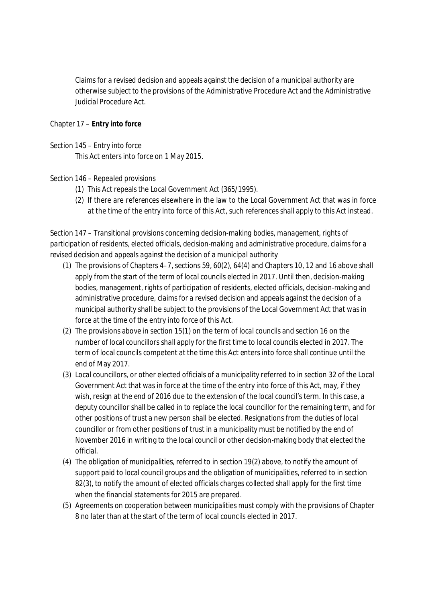Claims for a revised decision and appeals against the decision of a municipal authority are otherwise subject to the provisions of the Administrative Procedure Act and the Administrative Judicial Procedure Act.

Chapter 17 – **Entry into force**

### Section 145 – *Entry into force*

This Act enters into force on 1 May 2015.

### Section 146 – *Repealed provisions*

- (1) This Act repeals the Local Government Act (365/1995).
- (2) If there are references elsewhere in the law to the Local Government Act that was in force at the time of the entry into force of this Act, such references shall apply to this Act instead.

Section 147 – *Transitional provisions concerning decision-making bodies, management, rights of participation of residents, elected officials, decision-making and administrative procedure, claims for a revised decision and appeals against the decision of a municipal authority*

- (1) The provisions of Chapters 4–7, sections 59, 60(2), 64(4) and Chapters 10, 12 and 16 above shall apply from the start of the term of local councils elected in 2017. Until then, decision-making bodies, management, rights of participation of residents, elected officials, decision-making and administrative procedure, claims for a revised decision and appeals against the decision of a municipal authority shall be subject to the provisions of the Local Government Act that was in force at the time of the entry into force of this Act.
- (2) The provisions above in section 15(1) on the term of local councils and section 16 on the number of local councillors shall apply for the first time to local councils elected in 2017. The term of local councils competent at the time this Act enters into force shall continue until the end of May 2017.
- (3) Local councillors, or other elected officials of a municipality referred to in section 32 of the Local Government Act that was in force at the time of the entry into force of this Act, may, if they wish, resign at the end of 2016 due to the extension of the local council's term. In this case, a deputy councillor shall be called in to replace the local councillor for the remaining term, and for other positions of trust a new person shall be elected. Resignations from the duties of local councillor or from other positions of trust in a municipality must be notified by the end of November 2016 in writing to the local council or other decision-making body that elected the official.
- (4) The obligation of municipalities, referred to in section 19(2) above, to notify the amount of support paid to local council groups and the obligation of municipalities, referred to in section 82(3), to notify the amount of elected officials charges collected shall apply for the first time when the financial statements for 2015 are prepared.
- (5) Agreements on cooperation between municipalities must comply with the provisions of Chapter 8 no later than at the start of the term of local councils elected in 2017.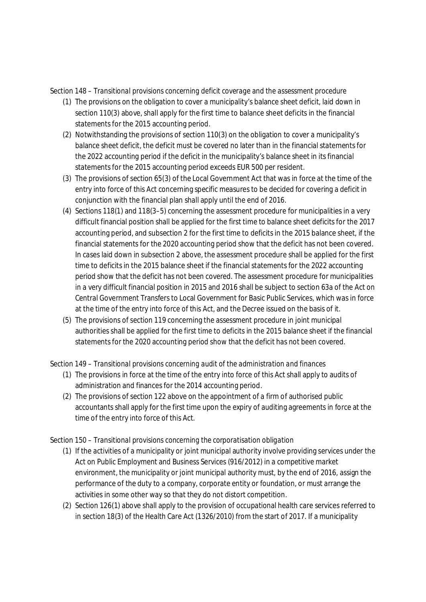Section 148 – *Transitional provisions concerning deficit coverage and the assessment procedure*

- (1) The provisions on the obligation to cover a municipality's balance sheet deficit, laid down in section 110(3) above, shall apply for the first time to balance sheet deficits in the financial statements for the 2015 accounting period.
- (2) Notwithstanding the provisions of section 110(3) on the obligation to cover a municipality's balance sheet deficit, the deficit must be covered no later than in the financial statements for the 2022 accounting period if the deficit in the municipality's balance sheet in its financial statements for the 2015 accounting period exceeds EUR 500 per resident.
- (3) The provisions of section 65(3) of the Local Government Act that was in force at the time of the entry into force of this Act concerning specific measures to be decided for covering a deficit in conjunction with the financial plan shall apply until the end of 2016.
- (4) Sections 118(1) and 118(3–5) concerning the assessment procedure for municipalities in a very difficult financial position shall be applied for the first time to balance sheet deficits for the 2017 accounting period, and subsection 2 for the first time to deficits in the 2015 balance sheet, if the financial statements for the 2020 accounting period show that the deficit has not been covered. In cases laid down in subsection 2 above, the assessment procedure shall be applied for the first time to deficits in the 2015 balance sheet if the financial statements for the 2022 accounting period show that the deficit has not been covered. The assessment procedure for municipalities in a very difficult financial position in 2015 and 2016 shall be subject to section 63a of the Act on Central Government Transfers to Local Government for Basic Public Services, which was in force at the time of the entry into force of this Act, and the Decree issued on the basis of it.
- (5) The provisions of section 119 concerning the assessment procedure in joint municipal authorities shall be applied for the first time to deficits in the 2015 balance sheet if the financial statements for the 2020 accounting period show that the deficit has not been covered.

Section 149 – *Transitional provisions concerning audit of the administration and finances*

- (1) The provisions in force at the time of the entry into force of this Act shall apply to audits of administration and finances for the 2014 accounting period.
- (2) The provisions of section 122 above on the appointment of a firm of authorised public accountants shall apply for the first time upon the expiry of auditing agreements in force at the time of the entry into force of this Act.

Section 150 – *Transitional provisions concerning the corporatisation obligation*

- (1) If the activities of a municipality or joint municipal authority involve providing services under the Act on Public Employment and Business Services (916/2012) in a competitive market environment, the municipality or joint municipal authority must, by the end of 2016, assign the performance of the duty to a company, corporate entity or foundation, or must arrange the activities in some other way so that they do not distort competition.
- (2) Section 126(1) above shall apply to the provision of occupational health care services referred to in section 18(3) of the Health Care Act (1326/2010) from the start of 2017. If a municipality